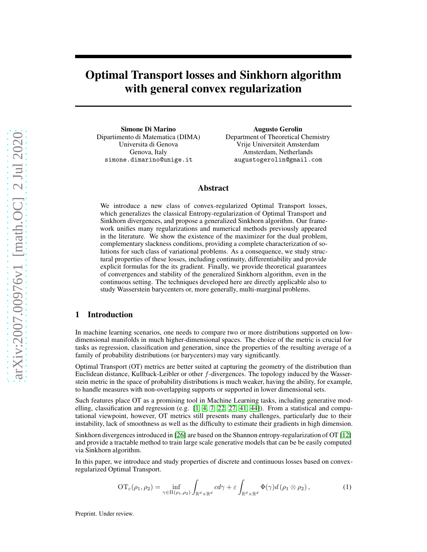# Optimal Transport losses and Sinkhorn algorithm with general convex regularization

Simone Di Marino Dipartimento di Matematica (DIMA) Universita di Genova Genova, Italy simone.dimarino@unige.it

Augusto Gerolin Department of Theoretical Chemistry Vrije Universiteit Amsterdam Amsterdam, Netherlands augustogerolin@gmail.com

## Abstract

We introduce a new class of convex-regularized Optimal Transport losses, which generalizes the classical Entropy-regularization of Optimal Transport and Sinkhorn divergences, and propose a generalized Sinkhorn algorithm. Our framework unifies many regularizations and numerical methods previously appeared in the literature. We show the existence of the maximizer for the dual problem, complementary slackness conditions, providing a complete characterization of solutions for such class of variational problems. As a consequence, we study structural properties of these losses, including continuity, differentiability and provide explicit formulas for the its gradient. Finally, we provide theoretical guarantees of convergences and stability of the generalized Sinkhorn algorithm, even in the continuous setting. The techniques developed here are directly applicable also to study Wasserstein barycenters or, more generally, multi-marginal problems.

## 1 Introduction

In machine learning scenarios, one needs to compare two or more distributions supported on lowdimensional manifolds in much higher-dimensional spaces. The choice of the metric is crucial for tasks as regression, classification and generation, since the properties of the resulting average of a family of probability distributions (or barycenters) may vary significantly.

Optimal Transport (OT) metrics are better suited at capturing the geometry of the distribution than Euclidean distance, Kullback-Leibler or other f-divergences. The topology induced by the Wasserstein metric in the space of probability distributions is much weaker, having the ability, for example, to handle measures with non-overlapping supports or supported in lower dimensional sets.

Such features place OT as a promising tool in Machine Learning tasks, including generative modelling, classification and regression (e.g.  $[1, 4, 7, 22, 27, 41, 44]$  $[1, 4, 7, 22, 27, 41, 44]$  $[1, 4, 7, 22, 27, 41, 44]$  $[1, 4, 7, 22, 27, 41, 44]$  $[1, 4, 7, 22, 27, 41, 44]$  $[1, 4, 7, 22, 27, 41, 44]$  $[1, 4, 7, 22, 27, 41, 44]$  $[1, 4, 7, 22, 27, 41, 44]$ ). From a statistical and computational viewpoint, however, OT metrics still presents many challenges, particularly due to their instability, lack of smoothness as well as the difficulty to estimate their gradients in high dimension.

Sinkhorn divergences introduced in [\[26\]](#page-9-3) are based on the Shannon entropy-regularization of OT [\[12\]](#page-8-3) and provide a tractable method to train large scale generative models that can be be easily computed via Sinkhorn algorithm.

In this paper, we introduce and study properties of discrete and continuous losses based on convexregularized Optimal Transport.

<span id="page-0-0"></span>
$$
\mathrm{OT}_{\varepsilon}(\rho_1, \rho_2) = \inf_{\gamma \in \Pi(\rho_1, \rho_2)} \int_{\mathbb{R}^d \times \mathbb{R}^d} c d\gamma + \varepsilon \int_{\mathbb{R}^d \times \mathbb{R}^d} \Phi(\gamma) d(\rho_1 \otimes \rho_2), \tag{1}
$$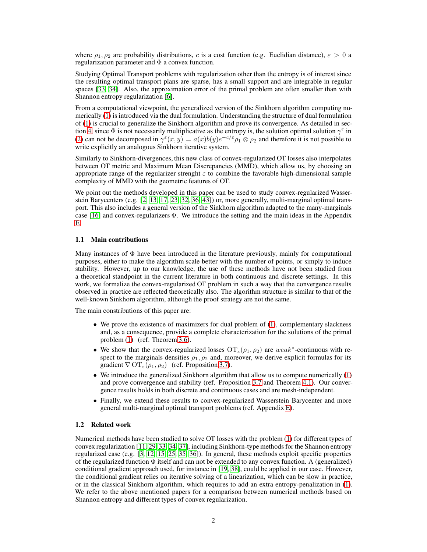where  $\rho_1, \rho_2$  are probability distributions, c is a cost function (e.g. Euclidian distance),  $\varepsilon > 0$  a regularization parameter and  $\Phi$  a convex function.

Studying Optimal Transport problems with regularization other than the entropy is of interest since the resulting optimal transport plans are sparse, has a small support and are integrable in regular spaces [\[33,](#page-9-4) [34\]](#page-9-5). Also, the approximation error of the primal problem are often smaller than with Shannon entropy regularization [\[6\]](#page-8-4).

From a computational viewpoint, the generalized version of the Sinkhorn algorithm computing numerically [\(1\)](#page-0-0) is introduced via the dual formulation. Understanding the structure of dual formulation of [\(1\)](#page-0-0) is crucial to generalize the Sinkhorn algorithm and prove its convergence. As detailed in sec-tion [4,](#page-7-0) since  $\Phi$  is not necessarily multiplicative as the entropy is, the solution optimal solution  $\gamma^{\epsilon}$  in [\(2\)](#page-2-0) can not be decomposed in  $\gamma^{\epsilon}(x, y) = a(x)b(y)e^{-c/\epsilon}\rho_1 \otimes \rho_2$  and therefore it is not possible to write explicitly an analogous Sinkhorn iterative system.

Similarly to Sinkhorn-divergences, this new class of convex-regularized OT losses also interpolates between OT metric and Maximum Mean Discrepancies (MMD), which allow us, by choosing an appropriate range of the regularizer strenght  $\varepsilon$  to combine the favorable high-dimensional sample complexity of MMD with the geometric features of OT.

We point out the methods developed in this paper can be used to study convex-regularized Wasserstein Barycenters (e.g. [\[2,](#page-8-5) [13,](#page-8-6) [17,](#page-8-7) [23,](#page-9-6) [32,](#page-9-7) [36,](#page-9-8) [43\]](#page-9-9)) or, more generally, multi-marginal optimal transport. This also includes a general version of the Sinkhorn algorithm adapted to the many-marginals case [\[16\]](#page-8-8) and convex-regularizers Φ. We introduce the setting and the main ideas in the Appendix [E.](#page-16-0)

#### 1.1 Main contributions

Many instances of  $\Phi$  have been introduced in the literature previously, mainly for computational purposes, either to make the algorithm scale better with the number of points, or simply to induce stability. However, up to our knowledge, the use of these methods have not been studied from a theoretical standpoint in the current literature in both continuous and discrete settings. In this work, we formalize the convex-regularized OT problem in such a way that the convergence results observed in practice are reflected theoretically also. The algorithm structure is similar to that of the well-known Sinkhorn algorithm, although the proof strategy are not the same.

The main constributions of this paper are:

- We prove the existence of maximizers for dual problem of [\(1\)](#page-0-0), complementary slackness and, as a consequence, provide a complete characterization for the solutions of the primal problem [\(1\)](#page-0-0) (ref. Theorem [3.6\)](#page-6-0).
- We show that the convex-regularized losses  $\mathrm{OT}_{\varepsilon}(\rho_1, \rho_2)$  are weak<sup>\*</sup>-continuous with respect to the marginals densities  $\rho_1, \rho_2$  and, moreover, we derive explicit formulas for its gradient  $\nabla$  OT<sub> $\varepsilon$ </sub>( $\rho_1$ ,  $\rho_2$ ) (ref. Proposition [3.7\)](#page-6-1).
- We introduce the generalized Sinkhorn algorithm that allow us to compute numerically [\(1\)](#page-0-0) and prove convergence and stability (ref. Proposition [3.7](#page-6-1) and Theorem [4.1\)](#page-7-1). Our convergence results holds in both discrete and continuous cases and are mesh-independent.
- Finally, we extend these results to convex-regularized Wasserstein Barycenter and more general multi-marginal optimal transport problems (ref. Appendix [E\)](#page-16-0).

#### 1.2 Related work

Numerical methods have been studied to solve OT losses with the problem [\(1\)](#page-0-0) for different types of convex regularization [\[11,](#page-8-9) [29,](#page-9-10) [33,](#page-9-4) [34,](#page-9-5) [37\]](#page-9-11), including Sinkhorn-type methods for the Shannon entropy regularized case (e.g. [\[3,](#page-8-10) [12,](#page-8-3) [15,](#page-8-11) [25,](#page-9-12) [35,](#page-9-13) [36\]](#page-9-8)). In general, these methods exploit specific properties of the regularized function  $\Phi$  itself and can not be extended to any convex function. A (generalized) conditional gradient approach used, for instance in [\[19,](#page-8-12) [38\]](#page-9-14), could be applied in our case. However, the conditional gradient relies on iterative solving of a linearization, which can be slow in practice, or in the classical Sinkhorn algorithm, which requires to add an extra entropy-penalization in [\(1\)](#page-0-0). We refer to the above mentioned papers for a comparison between numerical methods based on Shannon entropy and different types of convex regularization.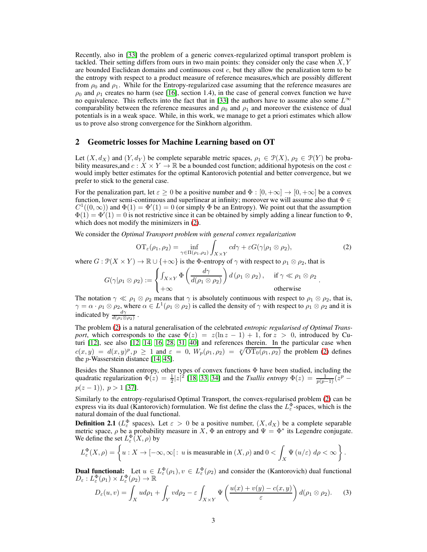Recently, also in [\[33\]](#page-9-4) the problem of a generic convex-regularized optimal transport problem is tackled. Their setting differs from ours in two main points: they consider only the case when  $X, Y$ are bounded Euclidean domains and continuous cost  $c$ , but they allow the penalization term to be the entropy with respect to a product measure of reference measures,which are possibly different from  $\rho_0$  and  $\rho_1$ . While for the Entropy-regularized case assuming that the reference measures are  $\rho_0$  and  $\rho_1$  creates no harm (see [\[16\]](#page-8-8), section 1.4), in the case of general convex function we have no equivalence. This reflects into the fact that in [\[33\]](#page-9-4) the authors have to assume also some  $L^{\infty}$ comparability between the reference measures and  $\rho_0$  and  $\rho_1$  and moreover the existence of dual potentials is in a weak space. While, in this work, we manage to get a priori estimates which allow us to prove also strong convergence for the Sinkhorn algorithm.

## 2 Geometric losses for Machine Learning based on OT

Let  $(X, d_X)$  and  $(Y, d_Y)$  be complete separable metric spaces,  $\rho_1 \in \mathcal{P}(X)$ ,  $\rho_2 \in \mathcal{P}(Y)$  be probability measures, and  $c: X \times Y \to \mathbb{R}$  be a bounded cost function; additional hypotesis on the cost c would imply better estimates for the optimal Kantorovich potential and better convergence, but we prefer to stick to the general case.

For the penalization part, let  $\varepsilon \ge 0$  be a positive number and  $\Phi : [0, +\infty] \to [0, +\infty]$  be a convex function, lower semi-continuous and superlinear at infinity; moreover we will assume also that  $\Phi \in$  $C^1((0,\infty))$  and  $\Phi(1) = \Phi'(1) = 0$  (or simply  $\Phi$  be an Entropy). We point out that the assumption  $\Phi(1) = \Phi'(1) = 0$  is not restrictive since it can be obtained by simply adding a linear function to  $\Phi$ , which does not modify the minimizers in [\(2\)](#page-2-0).

We consider the *Optimal Transport problem with general convex regularization*

<span id="page-2-0"></span>
$$
\mathrm{OT}_{\varepsilon}(\rho_1, \rho_2) = \inf_{\gamma \in \Pi(\rho_1, \rho_2)} \int_{X \times Y} c d\gamma + \varepsilon G(\gamma | \rho_1 \otimes \rho_2),\tag{2}
$$

<span id="page-2-1"></span>.

where  $G: \mathcal{P}(X \times Y) \to \mathbb{R} \cup \{+\infty\}$  is the  $\Phi$ -entropy of  $\gamma$  with respect to  $\rho_1 \otimes \rho_2$ , that is

$$
G(\gamma|\rho_1 \otimes \rho_2) := \begin{cases} \int_{X \times Y} \Phi\left(\frac{d\gamma}{d(\rho_1 \otimes \rho_2)}\right) d(\rho_1 \otimes \rho_2), & \text{if } \gamma \ll \rho_1 \otimes \rho_2 \\ +\infty & \text{otherwise} \end{cases}
$$

The notation  $\gamma \ll \rho_1 \otimes \rho_2$  means that  $\gamma$  is absolutely continuous with respect to  $\rho_1 \otimes \rho_2$ , that is,  $\gamma = \alpha \cdot \rho_1 \otimes \rho_2$ , where  $\alpha \in L^1(\rho_1 \otimes \rho_2)$  is called the density of  $\gamma$  with respect to  $\rho_1 \otimes \rho_2$  and it is indicated by  $\frac{d\gamma}{d(\rho_1 \otimes \rho_2)}$ .

The problem [\(2\)](#page-2-0) is a natural generalisation of the celebrated *entropic regularised of Optimal Transport*, which corresponds to the case  $\Phi(z) = z(\ln z - 1) + 1$ , for  $z > 0$ , introduced by Cuturi [\[12\]](#page-8-3), see also [\[12,](#page-8-3) [14,](#page-8-13) [16,](#page-8-8) [28,](#page-9-15) [31,](#page-9-16) [40\]](#page-9-17) and references therein. In the particular case when  $c(x,y) = d(x,y)^p, p \ge 1$  and  $\varepsilon = 0$ ,  $W_p(\rho_1, \rho_2) = \sqrt[p]{\text{OT}_0(\rho_1, \rho_2)}$  the problem [\(2\)](#page-2-0) defines the p-Wasserstein distance [\[14,](#page-8-13) [45\]](#page-10-1).

Besides the Shannon entropy, other types of convex functions  $\Phi$  have been studied, including the quadratic regularization  $\Phi(z) = \frac{1}{2} |z|^2$  [\[18,](#page-8-14) [33,](#page-9-4) [34\]](#page-9-5) and the *Tsallis entropy*  $\Phi(z) = \frac{1}{p(p-1)} (z^p - z^q)$  $p(z-1)$ ,  $p > 1$  [\[37\]](#page-9-11).

Similarly to the entropy-regularised Optimal Transport, the convex-regularised problem [\(2\)](#page-2-0) can be express via its dual (Kantorovich) formulation. We fist define the class the  $L_{\varepsilon}^{\Phi}$ -spaces, which is the natural domain of the dual functional.

**Definition 2.1** ( $L_{\varepsilon}^{\Phi}$  spaces). Let  $\varepsilon > 0$  be a positive number,  $(X, d_X)$  be a complete separable metric space,  $\rho$  be a probability measure in X,  $\Phi$  an entropy and  $\Psi = \Phi^*$  its Legendre conjugate. We define the set  $L_{\varepsilon}^{\Phi}(X,\rho)$  by

$$
L_{\varepsilon}^{\Phi}(X,\rho)=\left\{u:X\to[-\infty,\infty[:\,u\text{ is measurable in }(X,\rho)\text{ and }0<\int_X\Psi\left(u/\varepsilon\right)\,d\rho<\infty\right\}.
$$

**Dual functional:** Let  $u \in L_{\varepsilon}^{\Phi}(\rho_1), v \in L_{\varepsilon}^{\Phi}(\rho_2)$  and consider the (Kantorovich) dual functional  $D_{\varepsilon}: L_{\varepsilon}^{\Phi}(\rho_1) \times L_{\varepsilon}^{\Phi}(\rho_2) \to \mathbb{R}$ 

$$
D_{\varepsilon}(u,v) = \int_{X} u d\rho_1 + \int_{Y} v d\rho_2 - \varepsilon \int_{X \times Y} \Psi\left(\frac{u(x) + v(y) - c(x,y)}{\varepsilon}\right) d(\rho_1 \otimes \rho_2).
$$
 (3)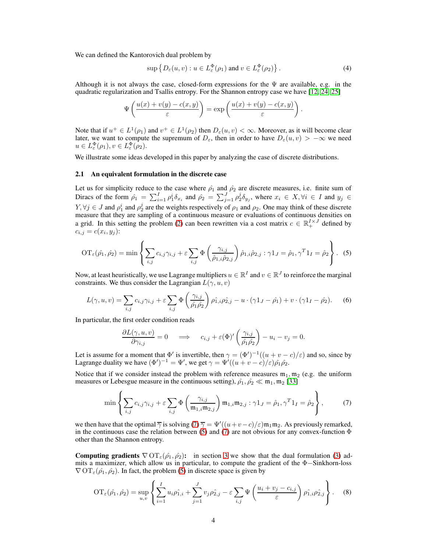We can defined the Kantorovich dual problem by

<span id="page-3-2"></span>
$$
\sup \left\{ D_{\varepsilon}(u,v) : u \in L_{\varepsilon}^{\Phi}(\rho_1) \text{ and } v \in L_{\varepsilon}^{\Phi}(\rho_2) \right\}.
$$
 (4)

.

Although it is not always the case, closed-form expressions for the  $\Psi$  are available, e.g. in the quadratic regularization and Tsallis entropy. For the Shannon entropy case we have [\[12,](#page-8-3) [24,](#page-9-18) [25\]](#page-9-12)

$$
\Psi\left(\frac{u(x) + v(y) - c(x, y)}{\varepsilon}\right) = \exp\left(\frac{u(x) + v(y) - c(x, y)}{\varepsilon}\right)
$$

Note that if  $u^+ \in L^1(\rho_1)$  and  $v^+ \in L^1(\rho_2)$  then  $D_\varepsilon(u, v) < \infty$ . Moreover, as it will become clear later, we want to compute the supremum of  $D_{\varepsilon}$ , then in order to have  $D_{\varepsilon}(u, v) > -\infty$  we need  $u \in L^{\Phi}_{\varepsilon}(\rho_1), v \in L^{\Phi}_{\varepsilon}(\rho_2).$ 

We illustrate some ideas developed in this paper by analyzing the case of discrete distributions.

#### 2.1 An equivalent formulation in the discrete case

Let us for simplicity reduce to the case where  $\hat{\rho}_1$  and  $\hat{\rho}_2$  are discrete measures, i.e. finite sum of Diracs of the form  $\hat{\rho}_1 = \sum_{i=1}^I \rho_1^i \delta_{x_i}$  and  $\hat{\rho}_2 = \sum_{j=1}^J \rho_2^j \delta_{y_j}$ , where  $x_i \in X, \forall i \in I$  and  $y_j \in$  $Y, \forall j \in J$  and  $\rho_1^i$  and  $\rho_2^j$  are the weights respectively of  $\rho_1$  and  $\rho_2$ . One may think of these discrete measure that they are sampling of a continuous measure or evaluations of continuous densities on a grid. In this setting the problem [\(2\)](#page-2-0) can been rewritten via a cost matrix  $c \in \mathbb{R}^{I \times J}_+$  defined by  $c_{i,j} = c(x_i, y_j)$ :

<span id="page-3-1"></span>
$$
\mathrm{OT}_{\varepsilon}(\hat{\rho}_1, \hat{\rho}_2) = \min \left\{ \sum_{i,j} c_{i,j} \gamma_{i,j} + \varepsilon \sum_{i,j} \Phi\left(\frac{\gamma_{i,j}}{\hat{\rho}_{1,i}\hat{\rho}_{2,j}}\right) \hat{\rho}_{1,i}\hat{\rho}_{2,j} : \gamma \mathbf{1}_J = \hat{\rho}_1, \gamma^T \mathbf{1}_I = \hat{\rho}_2 \right\}.
$$
 (5)

Now, at least heuristically, we use Lagrange multipliers  $u \in \mathbb{R}^I$  and  $v \in \mathbb{R}^J$  to reinforce the marginal constraints. We thus consider the Lagrangian  $L(\gamma, u, v)$ 

$$
L(\gamma, u, v) = \sum_{i,j} c_{i,j} \gamma_{i,j} + \varepsilon \sum_{i,j} \Phi\left(\frac{\gamma_{i,j}}{\hat{\rho}_1 \hat{\rho}_2}\right) \hat{\rho}_{1,i} \hat{\rho}_{2,j} - u \cdot (\gamma \mathbf{1}_J - \hat{\rho}_1) + v \cdot (\gamma \mathbf{1}_I - \hat{\rho}_2). \tag{6}
$$

In particular, the first order condition reads

$$
\frac{\partial L(\gamma, u, v)}{\partial \gamma_{i,j}} = 0 \quad \implies \quad c_{i,j} + \varepsilon(\Phi)' \left( \frac{\gamma_{i,j}}{\hat{\rho}_1 \hat{\rho}_2} \right) - u_i - v_j = 0.
$$

Let is assume for a moment that  $\Phi'$  is invertible, then  $\gamma = (\Phi')^{-1}((u+v-c)/\varepsilon)$  and so, since by Lagrange duality we have  $(\Phi')^{-1} = \Psi'$ , we get  $\gamma = \Psi'((u + v - c)/\varepsilon)\hat{\rho_1}\hat{\rho_2}$ .

Notice that if we consider instead the problem with reference measures  $m_1, m_2$  (e.g. the uniform measures or Lebesgue measure in the continuous setting),  $\hat{\rho}_1, \hat{\rho}_2 \ll m_1, m_2$  [\[33\]](#page-9-4)

<span id="page-3-0"></span>
$$
\min \left\{ \sum_{i,j} c_{i,j} \gamma_{i,j} + \varepsilon \sum_{i,j} \Phi\left(\frac{\gamma_{i,j}}{\mathfrak{m}_{1,i} \mathfrak{m}_{2,j}}\right) \mathfrak{m}_{1,i} \mathfrak{m}_{2,j} : \gamma \mathbf{1}_J = \hat{\rho}_1, \gamma^T \mathbf{1}_I = \hat{\rho}_2 \right\},\tag{7}
$$

we then have that the optimal  $\overline{\gamma}$  is solving  $(7)$   $\overline{\gamma} = \Psi'((u+v-c)/\varepsilon) \mathfrak{m}_1 \mathfrak{m}_2$ . As previously remarked, in the continuous case the relation between [\(5\)](#page-3-1) and [\(7\)](#page-3-0) are not obvious for any convex-function  $\Phi$ other than the Shannon entropy.

**Computing gradients**  $\nabla$  OT<sub>ε</sub>( $\rho_1$ ,  $\rho_2$ ): in section [3](#page-4-0) we show that the dual formulation [\(3\)](#page-2-1) admits a maximizer, which allow us in particular, to compute the gradient of the Φ−Sinkhorn-loss  $\nabla$  OT<sub> $\varepsilon$ </sub>( $\rho_1$ ,  $\rho_2$ ). In fact, the problem [\(5\)](#page-3-1) in discrete space is given by

$$
OT_{\varepsilon}(\hat{\rho_1}, \hat{\rho_2}) = \sup_{u,v} \left\{ \sum_{i=1}^I u_i \hat{\rho_1}_{,i} + \sum_{j=1}^J v_j \hat{\rho_2}_{,j} - \varepsilon \sum_{i,j} \Psi \left( \frac{u_i + v_j - c_{i,j}}{\varepsilon} \right) \hat{\rho_1}_{,i} \hat{\rho_2}_{,j} \right\}.
$$
 (8)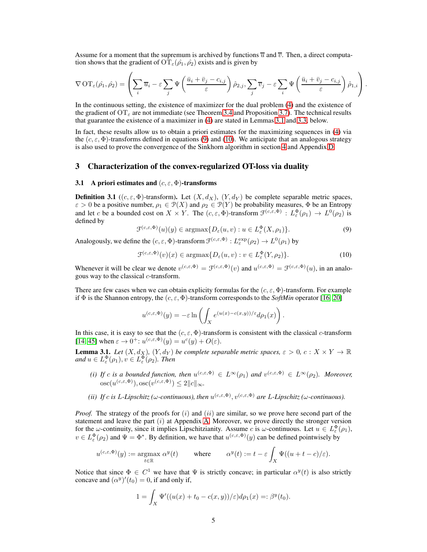Assume for a moment that the supremum is archived by functions  $\overline{u}$  and  $\overline{v}$ . Then, a direct computation shows that the gradient of  $\mathrm{OT}_{\varepsilon}(\hat{\rho}_1, \hat{\rho}_2)$  exists and is given by

$$
\nabla \operatorname{OT}_{\varepsilon}(\hat{\rho_1}, \hat{\rho_2}) = \left(\sum_i \overline{u}_i - \varepsilon \sum_j \Psi\left(\frac{\overline{u}_i + \overline{v}_j - c_{i,j}}{\varepsilon}\right) \hat{\rho_2}_{,j}, \sum_j \overline{v}_j - \varepsilon \sum_i \Psi\left(\frac{\overline{u}_i + \overline{v}_j - c_{i,j}}{\varepsilon}\right) \hat{\rho_1}_{,i}\right).
$$

In the continuous setting, the existence of maximizer for the dual problem [\(4\)](#page-3-2) and the existence of the gradient of  $OT_\varepsilon$  are not immediate (see Theorem [3.4](#page-5-0) and Proposition [3.7\)](#page-6-1). The technical results that guarantee the existence of a maximizer in [\(4\)](#page-3-2) are stated in Lemmas [3.1](#page-4-1) and [3.3,](#page-5-1) below.

In fact, these results allow us to obtain a priori estimates for the maximizing sequences in [\(4\)](#page-3-2) via the  $(c, \varepsilon, \Phi)$ -transforms defined in equations [\(9\)](#page-4-2) and [\(10\)](#page-4-3). We anticipate that an analogous strategy is also used to prove the convergence of the Sinkhorn algorithm in section [4](#page-7-0) and Appendix [D.](#page-14-0)

## <span id="page-4-4"></span><span id="page-4-0"></span>3 Characterization of the convex-regularized OT-loss via duality

### 3.1 A priori estimates and  $(c, \varepsilon, \Phi)$ -transforms

**Definition 3.1** ((c,  $\varepsilon$ ,  $\Phi$ )-transform). Let  $(X, d_X)$ ,  $(Y, d_Y)$  be complete separable metric spaces,  $\varepsilon > 0$  be a positive number,  $\rho_1 \in \mathcal{P}(X)$  and  $\rho_2 \in \mathcal{P}(Y)$  be probability measures,  $\Phi$  be an Entropy and let c be a bounded cost on  $X \times Y$ . The  $(c, \varepsilon, \Phi)$ -transform  $\mathcal{F}^{(c,\varepsilon,\Phi)} : L^{\Phi}_{\varepsilon}(\rho_1) \to L^0(\rho_2)$  is defined by

<span id="page-4-2"></span>
$$
\mathcal{F}^{(c,\varepsilon,\Phi)}(u)(y) \in \operatorname{argmax} \{ D_{\varepsilon}(u,v) : u \in L_{\varepsilon}^{\Phi}(X,\rho_1) \}. \tag{9}
$$

Analogously, we define the  $(c, \varepsilon, \Phi)$ -transform  $\mathcal{F}^{(c,\varepsilon,\Phi)}: L_{\varepsilon}^{\exp}(\rho_2) \to L^0(\rho_1)$  by

<span id="page-4-3"></span>
$$
\mathcal{F}^{(c,\varepsilon,\Phi)}(v)(x) \in \operatorname{argmax} \{ D_{\varepsilon}(u,v) : v \in L_{\varepsilon}^{\Phi}(Y,\rho_2) \}.
$$
 (10)

Whenever it will be clear we denote  $v^{(c,\varepsilon,\Phi)} = \mathcal{F}^{(c,\varepsilon,\Phi)}(v)$  and  $u^{(c,\varepsilon,\Phi)} = \mathcal{F}^{(c,\varepsilon,\Phi)}(u)$ , in an analogous way to the classical c-transform.

There are few cases when we can obtain explicity formulas for the  $(c, \varepsilon, \Phi)$ -transform. For example if  $\Phi$  is the Shannon entropy, the  $(c, \varepsilon, \Phi)$ -transform corresponds to the *SoftMin* operator [\[16,](#page-8-8) [20\]](#page-9-19)

$$
u^{(c,\varepsilon,\Phi)}(y) = -\varepsilon \ln \left( \int_X e^{(u(x)-c(x,y))/\varepsilon} d\rho_1(x) \right).
$$

In this case, it is easy to see that the  $(c, \varepsilon, \Phi)$ -transform is consistent with the classical c-transform [\[14,](#page-8-13) [45\]](#page-10-1) when  $\varepsilon \to 0^{\pm}$ :  $u^{(c,\varepsilon,\Phi)}(y) = u^{c}(y) + O(\varepsilon)$ .

<span id="page-4-1"></span>**Lemma 3.1.** *Let*  $(X, d_X)$ ,  $(Y, d_Y)$  *be complete separable metric spaces,*  $\varepsilon > 0$ ,  $c: X \times Y \to \mathbb{R}$ and  $u \in L_{\varepsilon}^{\Phi}(\rho_1), v \in L_{\varepsilon}^{\Phi}(\rho_2)$ . Then

- *(i)* If c is a bounded function, then  $u^{(c,\varepsilon,\Phi)} \in L^{\infty}(\rho_1)$  and  $v^{(c,\varepsilon,\Phi)} \in L^{\infty}(\rho_2)$ . Moreover,  $\operatorname{osc}(u^{(c,\varepsilon,\Phi)}), \operatorname{osc}(v^{(c,\varepsilon,\Phi)}) \leq 2||c||_{\infty}.$
- (*ii*) If c is L-Lipschitz (ω-continuous), then  $u^{(c,\varepsilon,\Phi)}$ ,  $v^{(c,\varepsilon,\Phi)}$  are L-Lipschitz (ω-continuous).

*Proof.* The strategy of the proofs for  $(i)$  and  $(ii)$  are similar, so we prove here second part of the statement and leave the part  $(i)$  at Appendix [A.](#page-11-0) Moreover, we prove directly the stronger version for the  $\omega$ -continuity, since it implies Lipschitzianity. Assume c is  $\omega$ -continuous. Let  $u \in L_{\varepsilon}^{\Phi}(\rho_1)$ ,  $v \in L_{\varepsilon}^{\Phi}(\rho_2)$  and  $\Psi = \Phi^*$ . By definition, we have that  $u^{(c,\varepsilon,\Phi)}(y)$  can be defined pointwisely by

$$
u^{(c,\varepsilon,\Phi)}(y) := \underset{t \in \mathbb{R}}{\operatorname{argmax}} \; \alpha^y(t) \qquad \text{where} \qquad \alpha^y(t) := t - \varepsilon \int_X \Psi((u+t-c)/\varepsilon).
$$

Notice that since  $\Phi \in C^1$  we have that  $\Psi$  is strictly concave; in particular  $\alpha^y(t)$  is also strictly concave and  $(\alpha^y)'(t_0) = 0$ , if and only if,

$$
1 = \int_X \Psi'((u(x) + t_0 - c(x, y))/\varepsilon)d\rho_1(x) =: \beta^y(t_0).
$$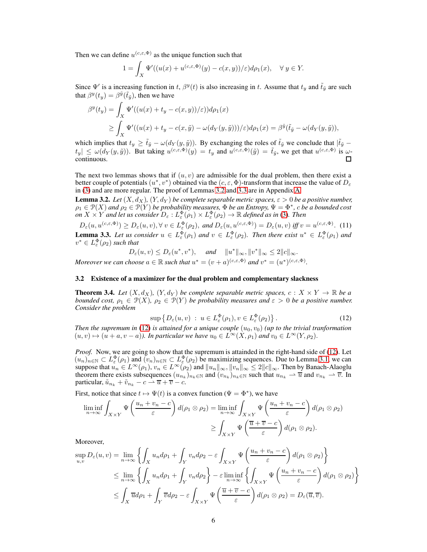Then we can define  $u^{(c,\epsilon,\Phi)}$  as the unique function such that

$$
1 = \int_X \Psi'((u(x) + u^{(c,\varepsilon,\Phi)}(y) - c(x,y))/\varepsilon)d\rho_1(x), \quad \forall y \in Y.
$$

Since  $\Psi'$  is a increasing function in t,  $\beta^{y}(t)$  is also increasing in t. Assume that  $t_y$  and  $\tilde{t}_{\tilde{y}}$  are such that  $\beta^{y}(t_y) = \beta^{\tilde{y}}(\tilde{t}_{\tilde{y}})$ , then we have

$$
\beta^{y}(t_{y}) = \int_{X} \Psi'((u(x) + t_{y} - c(x, y))/\varepsilon)) d\rho_{1}(x)
$$
  
\n
$$
\geq \int_{X} \Psi'((u(x) + t_{y} - c(x, \tilde{y}) - \omega(d_{Y}(y, \tilde{y})))/\varepsilon) d\rho_{1}(x) = \beta^{\tilde{y}}(\tilde{t}_{\tilde{y}} - \omega(d_{Y}(y, \tilde{y}))),
$$

which implies that  $t_y \geq \tilde{t}_{\tilde{y}} - \omega(d_Y(y, \tilde{y}))$ . By exchanging the roles of  $\tilde{t}_{\tilde{y}}$  we conclude that  $|\tilde{t}_{\tilde{y}} - \tilde{t}_{\tilde{y}}|$  $|t_y| \le \omega(d_Y(y, \tilde{y}))$ . But taking  $u^{(c,\varepsilon,\Phi)}(y) = t_y$  and  $u^{(c,\varepsilon,\Phi)}(\tilde{y}) = \tilde{t}_{\tilde{y}}$ , we get that  $u^{(c,\varepsilon,\Phi)}$  is  $\omega$ continuous. П

The next two lemmas shows that if  $(u, v)$  are admissible for the dual problem, then there exist a better couple of potentials  $(u^*, v^*)$  obtained via the  $(c, \varepsilon, \Phi)$ -transform that increase the value of  $D_\varepsilon$ in [\(3\)](#page-2-1) and are more regular. The proof of Lemmas [3.2](#page-5-2) and [3.3](#page-5-1) are in Appendix [A.](#page-11-0)

<span id="page-5-2"></span>**Lemma 3.2.** *Let*  $(X, d_X)$ ,  $(Y, d_Y)$  *be complete separable metric spaces,*  $\varepsilon > 0$  *be a positive number,*  $\rho_1 \in \mathcal{P}(X)$  and  $\rho_2 \in \overline{\mathcal{P}(Y)}$  be probability measures,  $\Phi$  be an Entropy,  $\Psi = \Phi^*$ ,  $c$  be a bounded cost *on*  $X \times Y$  *and let us consider*  $D_{\varepsilon}: L_{\varepsilon}^{\Phi}(\rho_1) \times L_{\varepsilon}^{\Phi}(\rho_2) \to \mathbb{R}$  *defined as in* [\(3\)](#page-2-1). Then

<span id="page-5-5"></span><span id="page-5-1"></span> $D_{\varepsilon}(u, u^{(c, \varepsilon, \Phi)}) \ge D_{\varepsilon}(u, v), \forall v \in L_{\varepsilon}^{\Phi}(\rho_2), \text{ and } D_{\varepsilon}(u, u^{(c, \varepsilon, \Phi)}) = D_{\varepsilon}(u, v) \text{ iff } v = u^{(c, \varepsilon, \Phi)}.$  (11) **Lemma 3.3.** Let us consider  $u \in L^{\Phi}_{\varepsilon}(\rho_1)$  and  $v \in L^{\Phi}_{\varepsilon}(\rho_2)$ . Then there exist  $u^* \in L^{\Phi}_{\varepsilon}(\rho_1)$  and  $v^* \in L^{\Phi}_{\varepsilon}(\rho_2)$  such that

 $D_{\varepsilon}(u, v) \leq D_{\varepsilon}(u^*, v^*), \quad \text{and} \quad \|u^*\|_{\infty}, \|v^*\|_{\infty} \leq 2\|c\|_{\infty}.$ 

<span id="page-5-4"></span>Moreover we can choose  $a \in \mathbb{R}$  such that  $u^* = (v + a)^{(c, \varepsilon, \Phi)}$  and  $v^* = (u^*)^{(c, \varepsilon, \Phi)}$ .

### 3.2 Existence of a maximizer for the dual problem and complementary slackness

<span id="page-5-0"></span>**Theorem 3.4.** Let  $(X, d_X)$ ,  $(Y, d_Y)$  be complete separable metric spaces,  $c: X \times Y \to \mathbb{R}$  be a *bounded cost,*  $\rho_1 \in \mathcal{P}(X)$ ,  $\rho_2 \in \mathcal{P}(Y)$  *be probability measures and*  $\varepsilon > 0$  *be a positive number. Consider the problem*

<span id="page-5-3"></span>
$$
\sup \left\{ D_{\varepsilon}(u,v) : u \in L_{\varepsilon}^{\Phi}(\rho_1), v \in L_{\varepsilon}^{\Phi}(\rho_2) \right\}.
$$
 (12)

*Then the supremum in* [\(12\)](#page-5-3) *is attained for a unique couple*  $(u_0, v_0)$  *(up to the trivial tranformation*)  $(u, v) \mapsto (u + a, v - a)$ ). In particular we have  $u_0 \in L^{\infty}(X, \rho_1)$  and  $v_0 \in L^{\infty}(Y, \rho_2)$ .

*Proof.* Now, we are going to show that the supremum is attainded in the right-hand side of [\(12\)](#page-5-3). Let  $(u_n)_{n\in\mathbb{N}}\subset L^{\Phi}_{\varepsilon}(\rho_1)$  and  $(v_n)_{n\in\mathbb{N}}\subset L^{\Phi}_{\varepsilon}(\rho_2)$  be maximizing sequences. Due to Lemma [3.1,](#page-4-1) we can suppose that  $u_n \in L^{\infty}(\rho_1)$ ,  $v_n \in L^{\infty}(\rho_2)$  and  $||u_n||_{\infty}$ ,  $||v_n||_{\infty} \leq 2||c||_{\infty}$ . Then by Banach-Alaoglu theorem there exists subsequences  $(u_{n_k})_{n_k\in\mathbb{N}}$  and  $(v_{n_k})_{n_k\in\mathbb{N}}$  such that  $u_{n_k} \to \overline{u}$  and  $v_{n_k} \to \overline{v}$ . In particular,  $\tilde{u}_{n_k} + \tilde{v}_{n_k} - c \rightharpoonup \overline{u} + \overline{v} - c.$ 

First, notice that since  $t \mapsto \Psi(t)$  is a convex function ( $\Psi = \Phi^*$ ), we have

$$
\liminf_{n \to \infty} \int_{X \times Y} \Psi\left(\frac{u_n + v_n - c}{\varepsilon}\right) d(\rho_1 \otimes \rho_2) = \liminf_{n \to \infty} \int_{X \times Y} \Psi\left(\frac{u_n + v_n - c}{\varepsilon}\right) d(\rho_1 \otimes \rho_2)
$$

$$
\geq \int_{X \times Y} \Psi\left(\frac{\overline{u} + \overline{v} - c}{\varepsilon}\right) d(\rho_1 \otimes \rho_2).
$$

Moreover,

$$
\sup_{u,v} D_{\varepsilon}(u,v) = \lim_{n \to \infty} \left\{ \int_{X} u_n d\rho_1 + \int_{Y} v_n d\rho_2 - \varepsilon \int_{X \times Y} \Psi\left(\frac{u_n + v_n - c}{\varepsilon}\right) d(\rho_1 \otimes \rho_2) \right\}
$$
  
\n
$$
\leq \lim_{n \to \infty} \left\{ \int_{X} u_n d\rho_1 + \int_{Y} v_n d\rho_2 \right\} - \varepsilon \liminf_{n \to \infty} \left\{ \int_{X \times Y} \Psi\left(\frac{u_n + v_n - c}{\varepsilon}\right) d(\rho_1 \otimes \rho_2) \right\}
$$
  
\n
$$
\leq \int_{X} \overline{u} d\rho_1 + \int_{Y} \overline{v} d\rho_2 - \varepsilon \int_{X \times Y} \Psi\left(\frac{\overline{u} + \overline{v} - c}{\varepsilon}\right) d(\rho_1 \otimes \rho_2) = D_{\varepsilon}(\overline{u}, \overline{v}).
$$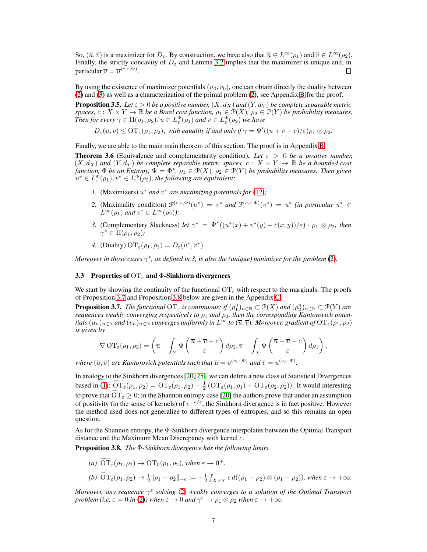So,  $(\overline{u}, \overline{v})$  is a maximizer for  $D_{\varepsilon}$ . By construction, we have also that  $\overline{u} \in L^{\infty}(\rho_1)$  and  $\overline{v} \in L^{\infty}(\rho_2)$ . Finally, the strictly concavity of  $D_{\varepsilon}$  and Lemma [3.2](#page-5-2) implies that the maximizer is unique and, in particular  $\overline{v} = \overline{u}^{(c,\varepsilon,\Phi)}$ . П

By using the existence of maximizer potentials  $(u_0, v_0)$ , one can obtain directly the duality between [\(2\)](#page-2-0) and [\(3\)](#page-2-1) as well as a characterization of the primal problem [\(2\)](#page-2-0), see Appendix [B](#page-12-0) for the proof.

<span id="page-6-3"></span>**Proposition 3.5.** *Let*  $\varepsilon > 0$  *be a positive number,*  $(X, d_X)$  *and*  $(Y, d_Y)$  *be complete separable metric spaces,*  $c: X \times Y \to \mathbb{R}$  *be a Borel cost function,*  $\rho_1 \in \mathcal{P}(X)$ *,*  $\rho_2 \in \mathcal{P}(Y)$  *be probability measures. Then for every*  $\gamma \in \Pi(\rho_1, \rho_2)$ ,  $u \in L_{\varepsilon}^{\Phi}(\rho_1)$  and  $v \in L_{\varepsilon}^{\Phi}(\rho_2)$  we have

$$
D_{\varepsilon}(u, v) \leq \mathrm{OT}_{\varepsilon}(\rho_1, \rho_2)
$$
, with equality if and only if  $\gamma = \Psi'((u + v - c)/\varepsilon)\rho_1 \otimes \rho_2$ .

Finally, we are able to the main main theorem of this section. The proof is in Appendix [B.](#page-12-0)

<span id="page-6-0"></span>**Theorem 3.6** (Equivalence and complementarity condition). Let  $\varepsilon > 0$  be a positive number,  $(X, d_X)$  and  $(Y, d_Y)$  be complete separable metric spaces,  $c: X \times Y \to \mathbb{R}$  be a bounded cost *function,*  $\Phi$  *be an Entropy,*  $\Psi = \Phi^*$ ,  $\rho_1 \in \mathcal{P}(X)$ ,  $\rho_2 \in \mathcal{P}(Y)$  *be probability measures. Then given*  $u^* \in L^{\Phi}_{\varepsilon}(\rho_1), v^* \in L^{\Phi}_{\varepsilon}(\rho_2)$ , the following are equivalent:

- 1. (Maximizers)  $u^*$  *and*  $v^*$  *are maximizing potentials for* [\(12\)](#page-5-3);
- 2. (Maximality condition)  $\mathcal{F}^{(c,\varepsilon,\Phi)}(u^*) = v^*$  *and*  $\mathcal{F}^{(c,\varepsilon,\Phi)}(v^*) = u^*$  *(in particular*  $u^* \in$  $L^{\infty}(\rho_1)$  and  $v^* \in L^{\infty}(\rho_2)$ );
- *3.* (Complementary Slackness) *let*  $\gamma^* = \Psi'((u^*(x) + v^*(y) c(x, y))/\epsilon) \cdot \rho_1 \otimes \rho_2$ , then  $\gamma^* \in \Pi(\rho_1, \rho_2)$ ;
- *4.* (Duality)  $\mathrm{OT}_{\varepsilon}(\rho_1, \rho_2) = D_{\varepsilon}(u^*, v^*).$

<span id="page-6-4"></span>*Moreover in those cases*  $\gamma^*$ *, as defined in 3, is also the (unique) minimizer for the problem* [\(2\)](#page-2-0).

#### 3.3 Properties of  $OT<sub>\epsilon</sub>$  and  $\Phi$ -Sinkhorn divergences

We start by showing the continuity of the functional  $\overline{or}_\epsilon$  with respect to the marginals. The proofs of Proposition [3.7](#page-6-1) and Proposition [3.8](#page-6-2) below are given in the Appendix [C.](#page-13-0)

<span id="page-6-1"></span>**Proposition 3.7.** *The functional*  $\mathrm{OT}_{\varepsilon}$  *is continuous: if*  $(\rho_1^n)_{n\in\mathbb{N}}\subset \mathcal{P}(X)$  *and*  $(\rho_2^n)_{n\in\mathbb{N}}\subset \mathcal{P}(Y)$  *are sequences weakly converging respectively to*  $\rho_1$  *and*  $\rho_2$ *, then the corresponding Kantorovich potentials*  $(u_n)_{n\in\mathbb{N}}$  *and*  $(v_n)_{n\in\mathbb{N}}$  *converges uniformly in*  $L^{\infty}$  *to*  $(\overline{u}, \overline{v})$ *. Moreover, gradient of*  $\overline{OT}_{\varepsilon}(\rho_1, \rho_2)$ *is given by*

$$
\nabla \,\mathrm{OT}_{\varepsilon}(\rho_1,\rho_2) = \left(\overline{u} - \int_Y \Psi\left(\frac{\overline{u} + \overline{v} - c}{\varepsilon}\right) d\rho_2, \overline{v} - \int_X \Psi\left(\frac{\overline{u} + \overline{v} - c}{\varepsilon}\right) d\rho_1\right),\,
$$

*where*  $(\overline{u}, \overline{v})$  *are Kantorovich potentials such that*  $\overline{u} = v^{(c,\varepsilon,\Phi)}$  *and*  $\overline{v} = u^{(c,\varepsilon,\Phi)}$ *.* 

In analogy to the Sinkhorn divergences [\[20,](#page-9-19) [25\]](#page-9-12), we can define a new class of Statistical Divergences based in [\(1\)](#page-0-0):  $\overline{\text{OT}}_{\varepsilon}(\rho_1, \rho_2) = \text{OT}_{\varepsilon}(\rho_1, \rho_2) - \frac{1}{2} \left( \text{OT}_{\varepsilon}(\rho_1, \rho_1) + \text{OT}_{\varepsilon}(\rho_2, \rho_2) \right)$ . It would interesting to prove that  $\widetilde{OT}_{\varepsilon} \geq 0$ ; in the Shannon entropy case [\[20\]](#page-9-19) the authors prove that under an assumption of positivity (in the sense of kernels) of  $e^{-c/\varepsilon}$ , the Sinkhorn divergence is in fact positive. However the method used does not generalize to different types of entropies, and so this remains an open question.

As for the Shannon entropy, the Φ-Sinkhorn divergence interpolates between the Optimal Transport distance and the Maximum Mean Discrepancy with kernel c.

<span id="page-6-2"></span>Proposition 3.8. *The* Φ*-Sinkhorn divergence has the following limits*

(a) 
$$
\widetilde{OT}_{\varepsilon}(\rho_1, \rho_2) \to \widetilde{OT}_0(\rho_1, \rho_2)
$$
, when  $\varepsilon \to 0^+$ .  
\n(b)  $\widetilde{OT}_{\varepsilon}(\rho_1, \rho_2) \to \frac{1}{2} || \rho_1 - \rho_2 ||_{-c} := -\frac{1}{2} \int_{X \times Y} c \, d((\rho_1 - \rho_2) \otimes (\rho_1 - \rho_2))$ , when  $\varepsilon \to +\infty$ .

*Moreover, any sequence*  $\gamma^{\varepsilon}$  solving [\(2\)](#page-2-0) weakly converges to a solution of the Optimal Transport *problem (i.e,*  $\varepsilon = 0$  *in* [\(2\)](#page-2-0)*)* when  $\varepsilon \to 0$  *and*  $\gamma^{\varepsilon} \to \rho_1 \otimes \rho_2$  *when*  $\varepsilon \to +\infty$ *.*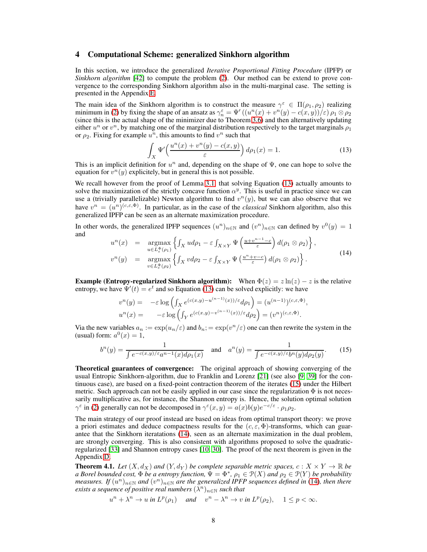## <span id="page-7-0"></span>4 Computational Scheme: generalized Sinkhorn algorithm

In this section, we introduce the generalized *Iterative Proportional Fitting Procedure* (IPFP) or *Sinkhorn algorithm* [\[42\]](#page-9-20) to compute the problem [\(2\)](#page-2-0). Our method can be extend to prove convergence to the corresponding Sinkhorn algorithm also in the multi-marginal case. The setting is presented in the Appendix [E.](#page-16-0)

The main idea of the Sinkhorn algorithm is to construct the measure  $\gamma^{\varepsilon} \in \Pi(\rho_1, \rho_2)$  realizing minimum in [\(2\)](#page-2-0) by fixing the shape of an ansatz as  $\gamma_n^{\varepsilon} = \Psi'((u^n(x) + v^n(y) - c(x, y))/\varepsilon) \rho_1 \otimes \rho_2$ (since this is the actual shape of the minimizer due to Theorem [3.6\)](#page-6-0) and then alternatively updating either  $u^n$  or  $v^n$ , by matching one of the marginal distribution respectively to the target marginals  $\rho_1$ or  $\rho_2$ . Fixing for example  $u^n$ , this amounts to find  $v^n$  such that

<span id="page-7-2"></span>
$$
\int_{X} \Psi' \left( \frac{u^n(x) + v^n(y) - c(x, y)}{\varepsilon} \right) d\rho_1(x) = 1.
$$
\n(13)

This is an implicit definition for  $u^n$  and, depending on the shape of  $\Psi$ , one can hope to solve the equation for  $v^n(y)$  explicitely, but in general this is not possible.

We recall however from the proof of Lemma [3.1,](#page-4-1) that solving Equation [\(13\)](#page-7-2) actually amounts to solve the maximization of the strictly concave function  $\alpha^y$ . This is useful in practice since we can use a (trivially parallelizable) Newton algorithm to find  $v^n(y)$ , but we can also observe that we have  $v^n = (u^n)^{(c,\varepsilon,\Phi)}$ . In particular, as in the case of the *classical* Sinkhorn algorithm, also this generalized IPFP can be seen as an alternate maximization procedure.

In other words, the generalized IPFP sequences  $(u^n)_{n\in\mathbb{N}}$  and  $(v^n)_{n\in\mathbb{N}}$  can defined by  $v^0(y) = 1$ and

<span id="page-7-4"></span>
$$
u^{n}(x) = \underset{u \in L_{\varepsilon}^{\Phi}(\rho_{1})}{\operatorname{argmax}} \left\{ \int_{X} u d\rho_{1} - \varepsilon \int_{X \times Y} \Psi\left(\frac{u + v^{n-1} - c}{\varepsilon}\right) d(\rho_{1} \otimes \rho_{2}) \right\},
$$
  
\n
$$
v^{n}(y) = \underset{v \in L_{\varepsilon}^{\Phi}(\rho_{2})}{\operatorname{argmax}} \left\{ \int_{X} v d\rho_{2} - \varepsilon \int_{X \times Y} \Psi\left(\frac{u^{n} + v - c}{\varepsilon}\right) d(\rho_{1} \otimes \rho_{2}) \right\}.
$$
\n(14)

**Example (Entropy-regularized Sinkhorn algorithm):** When  $\Phi(z) = z \ln(z) - z$  is the relative entropy, we have  $\Psi'(t) = e^t$  and so Equation [\(13\)](#page-7-2) can be solved explicitly: we have

$$
v^n(y) = -\varepsilon \log \left( \int_X e^{(c(x,y)-u^{(n-1)}(x))/\varepsilon} d\rho_1 \right) = (u^{(n-1)})^{(c,\varepsilon,\Phi)},
$$
  

$$
u^n(x) = -\varepsilon \log \left( \int_Y e^{(c(x,y)-v^{(n-1)}(x))/\varepsilon} d\rho_2 \right) = (v^n)^{(c,\varepsilon,\Phi)}.
$$

Via the new variables  $a_n := \exp(u_n/\varepsilon)$  and  $b_n := \exp(v^n/\varepsilon)$  one can then rewrite the system in the (usual) form:  $a^0(x) = 1$ ,

<span id="page-7-3"></span>
$$
b^{n}(y) = \frac{1}{\int e^{-c(x,y)/\varepsilon} a^{n-1}(x) d\rho_{1}(x)} \quad \text{and} \quad a^{n}(y) = \frac{1}{\int e^{-c(x,y)/\varepsilon} b^{n}(y) d\rho_{2}(y)}.
$$
 (15)

Theoretical guarantees of convergence: The original approach of showing converging of the usual Entropic Sinkhorn-algorithm, due to Franklin and Lorenz [\[21\]](#page-9-21) (see also [\[9,](#page-8-15) [39\]](#page-9-22) for the continuous case), are based on a fixed-point contraction theorem of the iterates [\(15\)](#page-7-3) under the Hilbert metric. Such approach can not be easily applied in our case since the regularization  $\Phi$  is not necessarily multiplicative as, for instance, the Shannon entropy is. Hence, the solution optimal solution  $\gamma^{\varepsilon}$  in [\(2\)](#page-2-0) generally can not be decomposed in  $\gamma^{\varepsilon}(x, y) = a(x)b(y)e^{-c/\varepsilon} \cdot \rho_1 \rho_2$ .

The main strategy of our proof instead are based on ideas from optimal transport theory: we prove a priori estimates and deduce compactness results for the  $(c, \varepsilon, \Phi)$ -transforms, which can guarantee that the Sinkhorn iteratations [\(14\)](#page-7-4), seen as an alternate maximization in the dual problem, are strongly converging. This is also consistent with algorithms proposed to solve the quadraticregularized [\[33\]](#page-9-4) and Shannon entropy cases [\[10,](#page-8-16) [30\]](#page-9-23). The proof of the next theorem is given in the Appendix [D.](#page-14-0)

<span id="page-7-1"></span>**Theorem 4.1.** Let  $(X, d_X)$  and  $(Y, d_Y)$  be complete separable metric spaces,  $c: X \times Y \to \mathbb{R}$  be *a Borel bounded cost,*  $\Phi$  *be a entropy function,*  $\hat{\Psi} = \Phi^*$ ,  $\rho_1 \in \mathcal{P}(X)$  *and*  $\rho_2 \in \mathcal{P}(Y)$  *be probability*  $m$ easures. If  $(u^n)_{n\in\mathbb{N}}$  and  $(v^n)_{n\in\mathbb{N}}$  are the generalized IPFP sequences defined in [\(14\)](#page-7-4), then there  $e$ xists a sequence of positive real numbers  $(\lambda^n)_{n\in\mathbb{N}}$  such that

 $u^{n} + \lambda^{n} \to u$  in  $L^{p}(\rho_{1})$  and  $v^{n} - \lambda^{n} \to v$  in  $L^{p}(\rho_{2}),$   $1 \le p < \infty$ .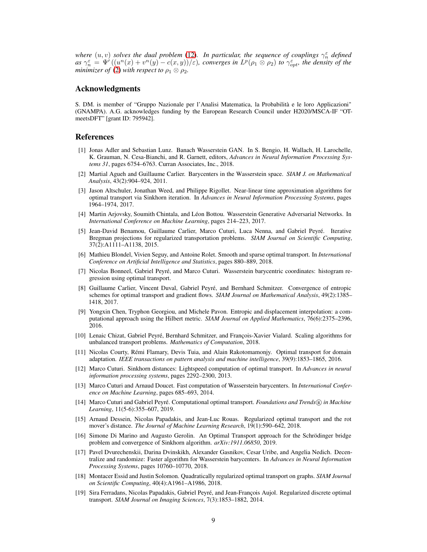*where*  $(u, v)$  *solves the dual problem* [\(12\)](#page-5-3). In particular, the sequence of couplings  $\gamma_n^{\varepsilon}$  defined  $as \gamma_n^{\varepsilon} = \Psi'((u^n(x) + v^n(y) - c(x, y))/\varepsilon)$ , converges in  $L^p(\rho_1 \otimes \rho_2)$  to  $\gamma_{opt}^{\varepsilon}$ , the density of the *minimizer of* [\(2\)](#page-2-0) *with respect to*  $\rho_1 \otimes \rho_2$ *.* 

## Acknowledgments

S. DM. is member of "Gruppo Nazionale per l'Analisi Matematica, la Probabilità e le loro Applicazioni" (GNAMPA). A.G. acknowledges funding by the European Research Council under H2020/MSCA-IF "OTmeetsDFT" [grant ID: 795942].

## <span id="page-8-0"></span>References

- [1] Jonas Adler and Sebastian Lunz. Banach Wasserstein GAN. In S. Bengio, H. Wallach, H. Larochelle, K. Grauman, N. Cesa-Bianchi, and R. Garnett, editors, *Advances in Neural Information Processing Systems 31*, pages 6754–6763. Curran Associates, Inc., 2018.
- <span id="page-8-5"></span>[2] Martial Agueh and Guillaume Carlier. Barycenters in the Wasserstein space. *SIAM J. on Mathematical Analysis*, 43(2):904–924, 2011.
- <span id="page-8-10"></span>[3] Jason Altschuler, Jonathan Weed, and Philippe Rigollet. Near-linear time approximation algorithms for optimal transport via Sinkhorn iteration. In *Advances in Neural Information Processing Systems*, pages 1964–1974, 2017.
- <span id="page-8-1"></span>[4] Martin Arjovsky, Soumith Chintala, and Léon Bottou. Wasserstein Generative Adversarial Networks. In *International Conference on Machine Learning*, pages 214–223, 2017.
- <span id="page-8-18"></span>[5] Jean-David Benamou, Guillaume Carlier, Marco Cuturi, Luca Nenna, and Gabriel Peyré. Iterative Bregman projections for regularized transportation problems. *SIAM Journal on Scientific Computing*, 37(2):A1111–A1138, 2015.
- <span id="page-8-4"></span>[6] Mathieu Blondel, Vivien Seguy, and Antoine Rolet. Smooth and sparse optimal transport. In *International Conference on Artificial Intelligence and Statistics*, pages 880–889, 2018.
- <span id="page-8-2"></span>[7] Nicolas Bonneel, Gabriel Peyré, and Marco Cuturi. Wasserstein barycentric coordinates: histogram regression using optimal transport.
- <span id="page-8-17"></span>[8] Guillaume Carlier, Vincent Duval, Gabriel Peyré, and Bernhard Schmitzer. Convergence of entropic schemes for optimal transport and gradient flows. *SIAM Journal on Mathematical Analysis*, 49(2):1385– 1418, 2017.
- <span id="page-8-15"></span>[9] Yongxin Chen, Tryphon Georgiou, and Michele Pavon. Entropic and displacement interpolation: a computational approach using the Hilbert metric. *SIAM Journal on Applied Mathematics*, 76(6):2375–2396, 2016.
- <span id="page-8-16"></span>[10] Lenaic Chizat, Gabriel Peyré, Bernhard Schmitzer, and François-Xavier Vialard. Scaling algorithms for unbalanced transport problems. *Mathematics of Computation*, 2018.
- <span id="page-8-9"></span>[11] Nicolas Courty, Rémi Flamary, Devis Tuia, and Alain Rakotomamonjy. Optimal transport for domain adaptation. *IEEE transactions on pattern analysis and machine intelligence*, 39(9):1853–1865, 2016.
- <span id="page-8-3"></span>[12] Marco Cuturi. Sinkhorn distances: Lightspeed computation of optimal transport. In *Advances in neural information processing systems*, pages 2292–2300, 2013.
- <span id="page-8-6"></span>[13] Marco Cuturi and Arnaud Doucet. Fast computation of Wasserstein barycenters. In *International Conference on Machine Learning*, pages 685–693, 2014.
- <span id="page-8-13"></span>[14] Marco Cuturi and Gabriel Peyré. Computational optimal transport. *Foundations and Trends* <sup>R</sup> *in Machine Learning*, 11(5-6):355–607, 2019.
- <span id="page-8-11"></span>[15] Arnaud Dessein, Nicolas Papadakis, and Jean-Luc Rouas. Regularized optimal transport and the rot mover's distance. *The Journal of Machine Learning Research*, 19(1):590–642, 2018.
- <span id="page-8-8"></span>[16] Simone Di Marino and Augusto Gerolin. An Optimal Transport approach for the Schrödinger bridge problem and convergence of Sinkhorn algorithm. *arXiv:1911.06850*, 2019.
- <span id="page-8-7"></span>[17] Pavel Dvurechenskii, Darina Dvinskikh, Alexander Gasnikov, Cesar Uribe, and Angelia Nedich. Decentralize and randomize: Faster algorithm for Wasserstein barycenters. In *Advances in Neural Information Processing Systems*, pages 10760–10770, 2018.
- <span id="page-8-14"></span>[18] Montacer Essid and Justin Solomon. Quadratically regularized optimal transport on graphs. *SIAM Journal on Scientific Computing*, 40(4):A1961–A1986, 2018.
- <span id="page-8-12"></span>[19] Sira Ferradans, Nicolas Papadakis, Gabriel Peyré, and Jean-François Aujol. Regularized discrete optimal transport. *SIAM Journal on Imaging Sciences*, 7(3):1853–1882, 2014.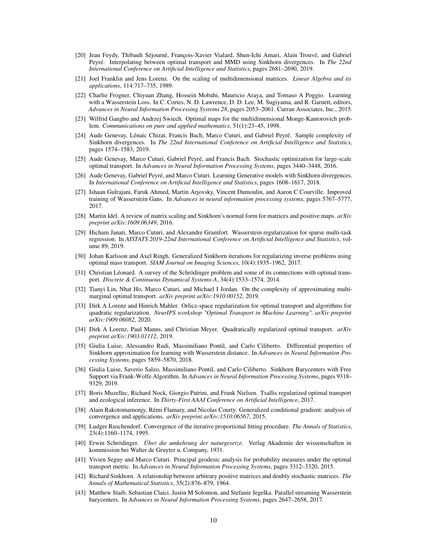- <span id="page-9-19"></span>[20] Jean Feydy, Thibault Séjourné, François-Xavier Vialard, Shun-Ichi Amari, Alain Trouvé, and Gabriel Peyré. Interpolating between optimal transport and MMD using Sinkhorn divergences. In *The 22nd International Conference on Artificial Intelligence and Statistics*, pages 2681–2690, 2019.
- <span id="page-9-21"></span>[21] Joel Franklin and Jens Lorenz. On the scaling of multidimensional matrices. *Linear Algebra and its applications*, 114:717–735, 1989.
- <span id="page-9-0"></span>[22] Charlie Frogner, Chiyuan Zhang, Hossein Mobahi, Mauricio Araya, and Tomaso A Poggio. Learning with a Wasserstein Loss. In C. Cortes, N. D. Lawrence, D. D. Lee, M. Sugiyama, and R. Garnett, editors, *Advances in Neural Information Processing Systems 28*, pages 2053–2061. Curran Associates, Inc., 2015.
- <span id="page-9-6"></span>[23] Wilfrid Gangbo and Andrzej Swiech. Optimal maps for the multidimensional Monge-Kantorovich problem. *Communications on pure and applied mathematics*, 51(1):23–45, 1998.
- <span id="page-9-18"></span>[24] Aude Genevay, Lénaic Chizat, Francis Bach, Marco Cuturi, and Gabriel Peyré. Sample complexity of Sinkhorn divergences. In *The 22nd International Conference on Artificial Intelligence and Statistics*, pages 1574–1583, 2019.
- <span id="page-9-12"></span>[25] Aude Genevay, Marco Cuturi, Gabriel Peyré, and Francis Bach. Stochastic optimization for large-scale optimal transport. In *Advances in Neural Information Processing Systems*, pages 3440–3448, 2016.
- <span id="page-9-3"></span>[26] Aude Genevay, Gabriel Peyré, and Marco Cuturi. Learning Generative models with Sinkhorn divergences. In *International Conference on Artificial Intelligence and Statistics*, pages 1608–1617, 2018.
- <span id="page-9-1"></span>[27] Ishaan Gulrajani, Faruk Ahmed, Martin Arjovsky, Vincent Dumoulin, and Aaron C Courville. Improved training of Wasserstein Gans. In *Advances in neural information processing systems*, pages 5767–5777, 2017.
- <span id="page-9-15"></span>[28] Martin Idel. A review of matrix scaling and Sinkhorn's normal form for matrices and positive maps. *arXiv preprint arXiv:1609.06349*, 2016.
- <span id="page-9-10"></span>[29] Hicham Janati, Marco Cuturi, and Alexandre Gramfort. Wasserstein regularization for sparse multi-task regression. In *AISTATS 2019-22nd International Conference on Artificial Intelligence and Statistics*, volume 89, 2019.
- <span id="page-9-23"></span>[30] Johan Karlsson and Axel Ringh. Generalized Sinkhorn iterations for regularizing inverse problems using optimal mass transport. *SIAM Journal on Imaging Sciences*, 10(4):1935–1962, 2017.
- <span id="page-9-16"></span>[31] Christian Léonard. A survey of the Schrödinger problem and some of its connections with optimal transport. *Discrete & Continuous Dynamical Systems-A*, 34(4):1533–1574, 2014.
- <span id="page-9-7"></span>[32] Tianyi Lin, Nhat Ho, Marco Cuturi, and Michael I Jordan. On the complexity of approximating multimarginal optimal transport. *arXiv preprint arXiv:1910.00152*, 2019.
- <span id="page-9-4"></span>[33] Dirk A Lorenz and Hinrich Mahler. Orlicz-space regularization for optimal transport and algorithms for quadratic regularization. *NeurIPS workshop "Optimal Transport in Machine Learning". arXiv preprint arXiv:1909.06082*, 2020.
- <span id="page-9-5"></span>[34] Dirk A Lorenz, Paul Manns, and Christian Meyer. Quadratically regularized optimal transport. *arXiv preprint arXiv:1903.01112*, 2019.
- <span id="page-9-13"></span>[35] Giulia Luise, Alessandro Rudi, Massimiliano Pontil, and Carlo Ciliberto. Differential properties of Sinkhorn approximation for learning with Wasserstein distance. In *Advances in Neural Information Processing Systems*, pages 5859–5870, 2018.
- <span id="page-9-8"></span>[36] Giulia Luise, Saverio Salzo, Massimiliano Pontil, and Carlo Ciliberto. Sinkhorn Barycenters with Free Support via Frank-Wolfe Algorithm. In *Advances in Neural Information Processing Systems*, pages 9318– 9329, 2019.
- <span id="page-9-11"></span>[37] Boris Muzellec, Richard Nock, Giorgio Patrini, and Frank Nielsen. Tsallis regularized optimal transport and ecological inference. In *Thirty-First AAAI Conference on Artificial Intelligence*, 2017.
- <span id="page-9-14"></span>[38] Alain Rakotomamonjy, Rémi Flamary, and Nicolas Courty. Generalized conditional gradient: analysis of convergence and applications. *arXiv preprint arXiv:1510.06567*, 2015.
- <span id="page-9-22"></span>[39] Ludger Ruschendorf. Convergence of the iterative proportional fitting procedure. *The Annals of Statistics*, 23(4):1160–1174, 1995.
- <span id="page-9-17"></span>[40] Erwin Schrödinger. *Über die umkehrung der naturgesetze*. Verlag Akademie der wissenschaften in kommission bei Walter de Gruyter u. Company, 1931.
- <span id="page-9-2"></span>[41] Vivien Seguy and Marco Cuturi. Principal geodesic analysis for probability measures under the optimal transport metric. In *Advances in Neural Information Processing Systems*, pages 3312–3320, 2015.
- <span id="page-9-20"></span>[42] Richard Sinkhorn. A relationship between arbitrary positive matrices and doubly stochastic matrices. *The Annals of Mathematical Statistics*, 35(2):876–879, 1964.
- <span id="page-9-9"></span>[43] Matthew Staib, Sebastian Claici, Justin M Solomon, and Stefanie Jegelka. Parallel streaming Wasserstein barycenters. In *Advances in Neural Information Processing Systems*, pages 2647–2658, 2017.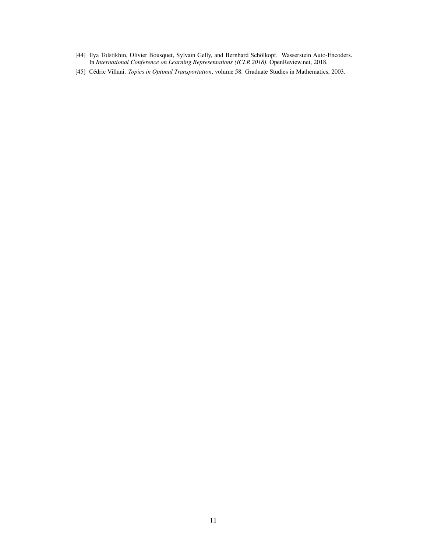- <span id="page-10-0"></span>[44] Ilya Tolstikhin, Olivier Bousquet, Sylvain Gelly, and Bernhard Schölkopf. Wasserstein Auto-Encoders. In *International Conference on Learning Representations (ICLR 2018)*. OpenReview.net, 2018.
- <span id="page-10-1"></span>[45] Cédric Villani. *Topics in Optimal Transportation*, volume 58. Graduate Studies in Mathematics, 2003.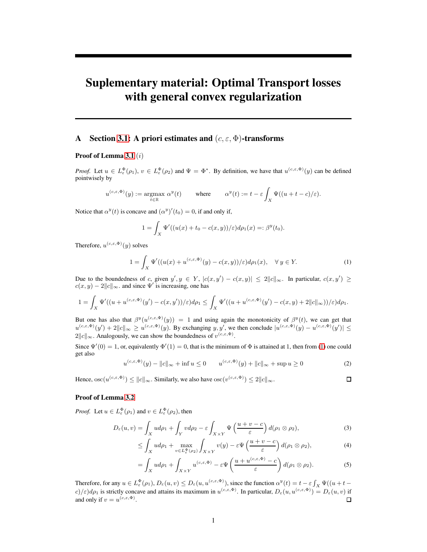# Suplementary material: Optimal Transport losses with general convex regularization

## <span id="page-11-0"></span>A Section [3.1:](#page-4-4) A priori estimates and  $(c, \varepsilon, \Phi)$ -transforms

## Proof of Lemma [3.1](#page-4-1) (*i*)

*Proof.* Let  $u \in L^{\Phi}_{\varepsilon}(\rho_1), v \in L^{\Phi}_{\varepsilon}(\rho_2)$  and  $\Psi = \Phi^*$ . By definition, we have that  $u^{(c,\varepsilon,\Phi)}(y)$  can be defined pointwisely by

$$
u^{(c,\varepsilon,\Phi)}(y) := \underset{t \in \mathbb{R}}{\operatorname{argmax}} \; \alpha^y(t) \qquad \text{ where } \qquad \alpha^y(t) := t - \varepsilon \int_X \Psi((u+t-c)/\varepsilon).
$$

Notice that  $\alpha^{y}(t)$  is concave and  $(\alpha^{y})'(t_0) = 0$ , if and only if,

$$
1 = \int_X \Psi'((u(x) + t_0 - c(x, y))/\varepsilon)d\rho_1(x) =: \beta^y(t_0).
$$

Therefore,  $u^{(c,\varepsilon,\Phi)}(y)$  solves

<span id="page-11-1"></span>
$$
1 = \int_X \Psi'((u(x) + u^{(c,\varepsilon,\Phi)}(y) - c(x,y))/\varepsilon) d\rho_1(x), \quad \forall y \in Y.
$$
 (1)

Due to the boundedness of c, given  $y', y \in Y$ ,  $|c(x, y') - c(x, y)| \le 2||c||_{\infty}$ . In particular,  $c(x, y') \ge$  $c(x, y) - 2||c||_{\infty}$  and since  $\Psi'$  is increasing, one has

$$
1=\int_X \Psi'((u+u^{(c,\varepsilon,\Phi)}(y')-c(x,y'))/\varepsilon)d\rho_1\leq \int_X \Psi'((u+u^{(c,\varepsilon,\Phi)}(y')-c(x,y)+2\|c\|_\infty))/\varepsilon)d\rho_1.
$$

But one has also that  $\beta^y(u^{(c,\varepsilon,\Phi)}(y)) = 1$  and using again the monotonicity of  $\beta^y(t)$ , we can get that  $u^{(c,\varepsilon,\Phi)}(y') + 2||c||_{\infty} \ge u^{(c,\varepsilon,\Phi)}(y)$ . By exchanging y, y', we then conclude  $|u^{(c,\varepsilon,\Phi)}(y) - u^{(c,\varepsilon,\Phi)}(y')| \le$  $2||c||_{\infty}$ . Analogously, we can show the boundedness of  $v^{(c,\varepsilon,\Phi)}$ .

Since  $\Psi'(0) = 1$ , or, equivalently  $\Phi'(1) = 0$  $\Phi'(1) = 0$  $\Phi'(1) = 0$ , that is the minimum of  $\Phi$  is attained at 1, then from (1) one could get also

<span id="page-11-2"></span>
$$
u^{(c,\varepsilon,\Phi)}(y) - ||c||_{\infty} + \inf u \le 0 \qquad u^{(c,\varepsilon,\Phi)}(y) + ||c||_{\infty} + \sup u \ge 0 \tag{2}
$$

Hence,  $\operatorname{osc}(u^{(c,\varepsilon,\Phi)}) \leq \|c\|_{\infty}$ . Similarly, we also have  $\operatorname{osc}(v^{(c,\varepsilon,\Phi)}) \leq 2\|c\|_{\infty}$ .

 $\Box$ 

#### Proof of Lemma [3.2](#page-5-2)

*Proof.* Let  $u \in L^{\Phi}_{\varepsilon}(\rho_1)$  and  $v \in L^{\Phi}_{\varepsilon}(\rho_2)$ , then

$$
D_{\varepsilon}(u,v) = \int_{X} u d\rho_1 + \int_{Y} v d\rho_2 - \varepsilon \int_{X \times Y} \Psi\left(\frac{u+v-c}{\varepsilon}\right) d(\rho_1 \otimes \rho_2), \tag{3}
$$

$$
\leq \int_X u d\rho_1 + \max_{v \in L^{\Phi}_\varepsilon(\rho_2)} \int_{X \times Y} v(y) - \varepsilon \Psi\left(\frac{u+v-c}{\varepsilon}\right) d(\rho_1 \otimes \rho_2),\tag{4}
$$

$$
= \int_X ud\rho_1 + \int_{X \times Y} u^{(c,\varepsilon,\Phi)} - \varepsilon \Psi\left(\frac{u + u^{(c,\varepsilon,\Phi)} - c}{\varepsilon}\right) d(\rho_1 \otimes \rho_2).
$$
 (5)

Therefore, for any  $u \in L_{\varepsilon}^{\Phi}(\rho_1), D_{\varepsilon}(u, v) \le D_{\varepsilon}(u, u^{(c, \varepsilon, \Phi)}),$  since the function  $\alpha^y(t) = t - \varepsilon \int_X \Psi((u + t - \Phi)^{y-1}) dt$  $c/\epsilon$ ) $d\rho_1$  is strictly concave and attains its maximum in  $u^{(c,\varepsilon,\Phi)}$ . In particular,  $D_{\varepsilon}(u, u^{(c,\varepsilon,\Phi)}) = D_{\varepsilon}(u, v)$  if and only if  $v = u^{(c,\varepsilon,\Phi)}$ .  $\Box$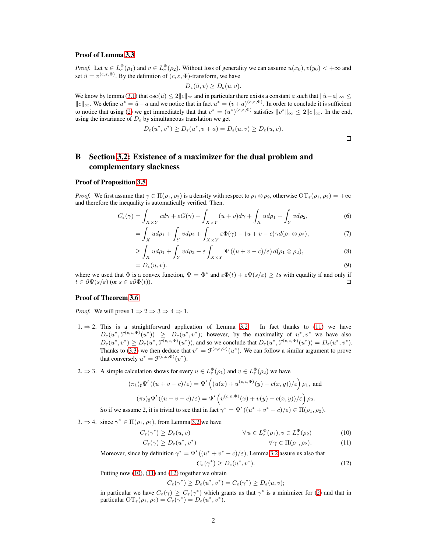#### Proof of Lemma [3.3](#page-5-1)

*Proof.* Let  $u \in L^{\Phi}_{\varepsilon}(\rho_1)$  and  $v \in L^{\Phi}_{\varepsilon}(\rho_2)$ . Without loss of generality we can assume  $u(x_0), v(y_0) < +\infty$  and set  $\tilde{u} = v^{(c,\varepsilon,\Phi)}$ . By the definition of  $(c,\varepsilon,\Phi)$ -transform, we have

$$
D_{\varepsilon}(\tilde{u},v) \ge D_{\varepsilon}(u,v).
$$

We know by lemma [\(3.1\)](#page-4-1) that  $\csc(\tilde{u}) \leq 2||c||_{\infty}$  and in particular there exists a constant a such that  $\|\tilde{u}-a\|_{\infty} \leq$  $||c||_{\infty}$ . We define  $u^* = \tilde{u} - a$  and we notice that in fact  $u^* = (v + a)^{(c, \varepsilon, \Phi)}$ . In order to conclude it is sufficient to notice that using [\(2\)](#page-11-2) we get immediately that that  $v^* = (u^*)^{(c,\varepsilon,\Phi)}$  satisfies  $||v^*||_{\infty} \leq 2||c||_{\infty}$ . In the end, using the invariance of  $D_{\varepsilon}$  by simultaneous translation we get

$$
D_{\varepsilon}(u^*, v^*) \ge D_{\varepsilon}(u^*, v+a) = D_{\varepsilon}(\bar{u}, v) \ge D_{\varepsilon}(u, v).
$$

## <span id="page-12-0"></span>B Section [3.2:](#page-5-4) Existence of a maximizer for the dual problem and complementary slackness

#### Proof of Proposition [3.5](#page-6-3)

*Proof.* We first assume that  $\gamma \in \Pi(\rho_1, \rho_2)$  is a density with respect to  $\rho_1 \otimes \rho_2$ , otherwise  $\overline{\text{OT}}_{\varepsilon}(\rho_1, \rho_2) = +\infty$ and therefore the inequality is automatically verified. Then,

$$
C_{\varepsilon}(\gamma) = \int_{X \times Y} cd\gamma + \varepsilon G(\gamma) - \int_{X \times Y} (u+v)d\gamma + \int_{X} ud\rho_1 + \int_{Y} vd\rho_2,
$$
\n(6)

$$
= \int_X ud\rho_1 + \int_Y vd\rho_2 + \int_{X\times Y} \varepsilon\Phi(\gamma) - (u+v-c)\gamma d(\rho_1\otimes\rho_2),\tag{7}
$$

$$
\geq \int_X ud\rho_1 + \int_Y v d\rho_2 - \varepsilon \int_{X \times Y} \Psi((u+v-c)/\varepsilon) d(\rho_1 \otimes \rho_2), \tag{8}
$$

$$
=D_{\varepsilon}(u,v).
$$
\n(9)

where we used that  $\Phi$  is a convex function,  $\Psi = \Phi^*$  and  $\varepsilon \Phi(t) + \varepsilon \Psi(s/\varepsilon) \geq ts$  with equality if and only if  $t \in \partial \Psi(s/\varepsilon)$  (or  $s \in \varepsilon \partial \Phi(t)$ ).

### Proof of Theorem [3.6](#page-6-0)

*Proof.* We will prove  $1 \Rightarrow 2 \Rightarrow 3 \Rightarrow 4 \Rightarrow 1$ .

1.  $\Rightarrow$  2. This is a straightforward application of Lemma [3.2.](#page-5-2) In fact thanks to [\(11\)](#page-5-5) we have  $D_{\varepsilon}(u^*, \mathcal{F}^{(c,\varepsilon,\Phi)}(u^*)) \geq D_{\varepsilon}(u^*, v^*)$ ; however, by the maximality of  $u^*, v^*$  we have also  $D_{\varepsilon}(u^*, v^*) \geq D_{\varepsilon}(u^*, \mathcal{F}^{(c,\varepsilon,\Phi)}(u^*))$ , and so we conclude that  $D_{\varepsilon}(u^*, \mathcal{F}^{(c,\varepsilon,\Phi)}(u^*)) = D_{\varepsilon}(u^*, v^*)$ . Thanks to [\(3.3\)](#page-5-1) we then deduce that  $v^* = \mathcal{F}^{(c,\varepsilon,\Phi)}(u^*)$ . We can follow a similar argument to prove that conversely  $u^* = \mathcal{F}^{(c,\varepsilon,\Phi)}(v^*)$ .

2.  $\Rightarrow$  3. A simple calculation shows for every  $u \in L_{\varepsilon}^{\Phi}(\rho_1)$  and  $v \in L_{\varepsilon}^{\Phi}(\rho_2)$  we have

$$
(\pi_1)_\sharp \Psi'((u+v-c)/\varepsilon) = \Psi'\left((u(x) + u^{(c,\varepsilon,\Phi)}(y) - c(x,y))/\varepsilon\right)\rho_1, \text{ and}
$$

$$
(\pi_2)_\sharp \Psi'\left((u+v-c)/\varepsilon\right) = \Psi'\left(v^{(c,\varepsilon,\Phi)}(x) + v(y) - c(x,y)/\varepsilon\right)\rho_2.
$$

So if we assume 2, it is trivial to see that in fact  $\gamma^* = \Psi'((u^* + v^* - c)/\varepsilon) \in \Pi(\rho_1, \rho_2)$ .

3.  $\Rightarrow$  4. since  $\gamma^* \in \Pi(\rho_1, \rho_2)$ , from Lemma [3.2](#page-5-2) we have  $C_{\varepsilon}(\gamma^*$ 

$$
\forall u \in L^{\Phi}_{\varepsilon}(\rho_1), v \in L^{\Phi}_{\varepsilon}(\rho_2) \tag{10}
$$

$$
C_{\varepsilon}(\gamma) \ge D_{\varepsilon}(u^*, v^*) \qquad \forall \gamma \in \Pi(\rho_1, \rho_2). \tag{11}
$$

Moreover, since by definition  $\gamma^* = \Psi'((u^* + v^* - c)/\varepsilon)$ , Lemma [3.2](#page-5-2) assure us also that

<span id="page-12-3"></span><span id="page-12-2"></span><span id="page-12-1"></span>
$$
C_{\varepsilon}(\gamma^*) \ge D_{\varepsilon}(u^*, v^*). \tag{12}
$$

Putting now [\(10\)](#page-12-1), [\(11\)](#page-12-2) and [\(12\)](#page-12-3) together we obtain

$$
C_{\varepsilon}(\gamma^*) \ge D_{\varepsilon}(u^*, v^*) = C_{\varepsilon}(\gamma^*) \ge D_{\varepsilon}(u, v);
$$

in particular we have  $C_{\varepsilon}(\gamma) \geq C_{\varepsilon}(\gamma^*)$  which grants us that  $\gamma^*$  is a minimizer for [\(2\)](#page-2-0) and that in particular  $\mathrm{OT}_{\varepsilon}(\rho_1, \rho_2) = C_{\varepsilon}(\gamma^*) = D_{\varepsilon}(u^*, v^*).$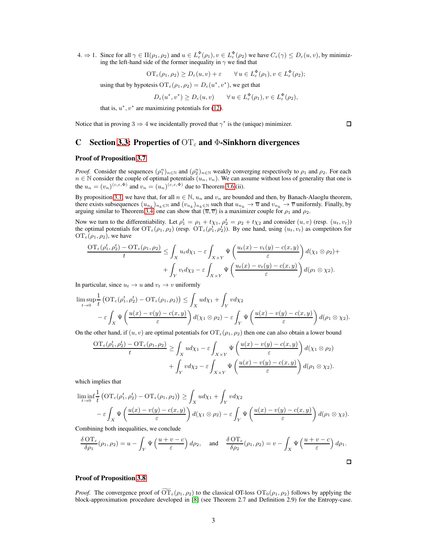4.  $\Rightarrow$  1. Since for all  $\gamma \in \Pi(\rho_1, \rho_2)$  and  $u \in L_{\varepsilon}^{\Phi}(\rho_1), v \in L_{\varepsilon}^{\Phi}(\rho_2)$  we have  $C_{\varepsilon}(\gamma) \leq D_{\varepsilon}(u, v)$ , by minimizing the left-hand side of the former inequality in  $\gamma$  we find that

$$
\mathrm{OT}_{\varepsilon}(\rho_1, \rho_2) \ge D_{\varepsilon}(u, v) + \varepsilon \qquad \forall u \in L_{\varepsilon}^{\Phi}(\rho_1), v \in L_{\varepsilon}^{\Phi}(\rho_2);
$$

using that by hypotesis  $\mathrm{OT}_{\varepsilon}(\rho_1, \rho_2) = D_{\varepsilon}(u^*, v^*)$ , we get that

$$
D_{\varepsilon}(u^*, v^*) \ge D_{\varepsilon}(u, v) \qquad \forall u \in L_{\varepsilon}^{\Phi}(\rho_1), v \in L_{\varepsilon}^{\Phi}(\rho_2),
$$

that is,  $u^*$ ,  $v^*$  are maximizing potentials for [\(12\)](#page-5-3).

<span id="page-13-0"></span>Notice that in proving  $3 \Rightarrow 4$  we incidentally proved that  $\gamma^*$  is the (unique) minimizer.

 $\Box$ 

## C Section [3.3:](#page-6-4) Properties of  $OT<sub>\epsilon</sub>$  and  $\Phi$ -Sinkhorn divergences

#### Proof of Proposition [3.7](#page-6-1)

*Proof.* Consider the sequences  $(\rho_1^n)_{n \in \mathbb{N}}$  and  $(\rho_2^n)_{n \in \mathbb{N}}$  weakly converging respectively to  $\rho_1$  and  $\rho_2$ . For each  $n \in \mathbb{N}$  consider the couple of optimal potentials  $(u_n, v_n)$ . We can assume without loss of generality that one is the  $u_n = (v_n)^{(c,\varepsilon,\Phi)}$  and  $v_n = (u_n)^{(c,\varepsilon,\Phi)}$  due to Theorem [3.6](#page-6-0) (ii).

By proposition [3.1,](#page-4-1) we have that, for all  $n \in \mathbb{N}$ ,  $u_n$  and  $v_n$  are bounded and then, by Banach-Alaoglu theorem, there exists subsequences  $(u_{n_k})_{n_k \in \mathbb{N}}$  and  $(v_{n_k})_{n_k \in \mathbb{N}}$  such that  $u_{n_k} \to \overline{u}$  and  $v_{n_k} \to \overline{v}$  uniformly. Finally, by arguing similar to Theorem [3.4,](#page-5-0) one can show that  $(\overline{u}, \overline{v})$  is a maximizer couple for  $\rho_1$  and  $\rho_2$ .

Now we turn to the differentiability. Let  $\rho_1^t = \rho_1 + t\chi_1$ ,  $\rho_2^t = \rho_2 + t\chi_2$  and consider  $(u, v)$  (resp.  $(u_t, v_t)$ ) the optimal potentials for  $\mathrm{OT}_{\varepsilon}(\rho_1, \rho_2)$  (resp.  $\mathrm{OT}_{\varepsilon}(\rho_1^t, \rho_2^t)$ ). By one hand, using  $(u_t, v_t)$  as competitors for  $\mathrm{OT}_{\varepsilon}(\rho_1, \rho_2)$ , we have

$$
\frac{\mathrm{OT}_{\varepsilon}(\rho_1^t, \rho_2^t) - \mathrm{OT}_{\varepsilon}(\rho_1, \rho_2)}{t} \le \int_X u_t d\chi_1 - \varepsilon \int_{X \times Y} \Psi\left(\frac{u_t(x) - v_t(y) - c(x, y)}{\varepsilon}\right) d(\chi_1 \otimes \rho_2) + \\ + \int_Y v_t d\chi_2 - \varepsilon \int_{X \times Y} \Psi\left(\frac{u_t(x) - v_t(y) - c(x, y)}{\varepsilon}\right) d(\rho_1 \otimes \chi_2).
$$

In particular, since  $u_t \to u$  and  $v_t \to v$  uniformly

$$
\limsup_{t \to 0} \frac{1}{t} \left( \text{OT}_{\varepsilon}(\rho_1^t, \rho_2^t) - \text{OT}_{\varepsilon}(\rho_1, \rho_2) \right) \le \int_X u d\chi_1 + \int_Y v d\chi_2
$$
\n
$$
- \varepsilon \int_X \Psi \left( \frac{u(x) - v(y) - c(x, y)}{\varepsilon} \right) d(\chi_1 \otimes \rho_2) - \varepsilon \int_Y \Psi \left( \frac{u(x) - v(y) - c(x, y)}{\varepsilon} \right) d(\rho_1 \otimes \chi_2).
$$

On the other hand, if  $(u, v)$  are optimal potentials for  $\mathrm{OT}_{\varepsilon}(\rho_1, \rho_2)$  then one can also obtain a lower bound

$$
\frac{\mathrm{OT}_{\varepsilon}(\rho_1^t, \rho_2^t) - \mathrm{OT}_{\varepsilon}(\rho_1, \rho_2)}{t} \ge \int_X ud\chi_1 - \varepsilon \int_{X \times Y} \Psi\left(\frac{u(x) - v(y) - c(x, y)}{\varepsilon}\right) d(\chi_1 \otimes \rho_2) + \int_Y v d\chi_2 - \varepsilon \int_{X \times Y} \Psi\left(\frac{u(x) - v(y) - c(x, y)}{\varepsilon}\right) d(\rho_1 \otimes \chi_2).
$$

which implies that

$$
\liminf_{t \to 0} \frac{1}{t} \left( \text{OT}_{\varepsilon}(\rho_1^t, \rho_2^t) - \text{OT}_{\varepsilon}(\rho_1, \rho_2) \right) \ge \int_X u d\chi_1 + \int_Y v d\chi_2
$$
\n
$$
- \varepsilon \int_X \Psi \left( \frac{u(x) - v(y) - c(x, y)}{\varepsilon} \right) d(\chi_1 \otimes \rho_2) - \varepsilon \int_Y \Psi \left( \frac{u(x) - v(y) - c(x, y)}{\varepsilon} \right) d(\rho_1 \otimes \chi_2).
$$

Combining both inequalities, we conclude

$$
\frac{\delta \operatorname{OT}_{\varepsilon}}{\delta \rho_1}(\rho_1, \rho_2) = u - \int_Y \Psi\left(\frac{u+v-c}{\varepsilon}\right) d\rho_2, \quad \text{and} \quad \frac{\delta \operatorname{OT}_{\varepsilon}}{\delta \rho_2}(\rho_1, \rho_2) = v - \int_X \Psi\left(\frac{u+v-c}{\varepsilon}\right) d\rho_1.
$$

#### Proof of Proposition [3.8](#page-6-2)

*Proof.* The convergence proof of  $\overline{OT}_\varepsilon(\rho_1, \rho_2)$  to the classical OT-loss  $OT_0(\rho_1, \rho_2)$  follows by applying the block-approximation procedure developed in [\[8\]](#page-8-17) (see Theorem 2.7 and Definition 2.9) for the Entropy-case.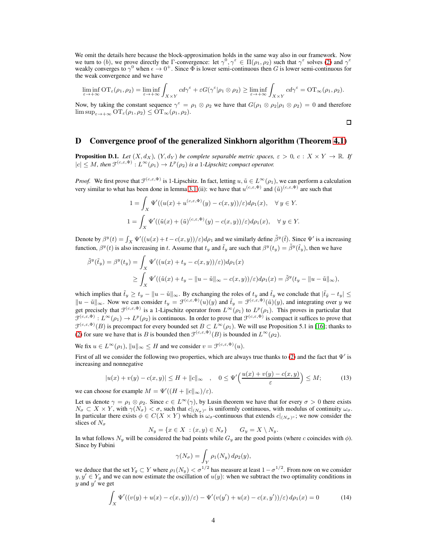We omit the details here because the block-approximation holds in the same way also in our framework. Now we turn to (b), we prove directly the Γ-convergence: let  $\gamma^0, \gamma^{\epsilon} \in \Pi(\rho_1, \rho_2)$  such that  $\gamma^{\epsilon}$  solves [\(2\)](#page-2-0) and  $\gamma^{\epsilon}$ weakly converges to  $\gamma^0$  when  $\epsilon \to 0^+$ . Since  $\Phi$  is lower semi-continuous then G is lower semi-continuous for the weak convergence and we have

$$
\liminf_{\varepsilon \to +\infty} \mathrm{OT}_\varepsilon(\rho_1, \rho_2) = \liminf_{\varepsilon \to +\infty} \int_{X \times Y} c d\gamma^\varepsilon + \varepsilon G(\gamma^\varepsilon | \rho_1 \otimes \rho_2) \geq \liminf_{\varepsilon \to +\infty} \int_{X \times Y} c d\gamma^\varepsilon = \mathrm{OT}_\infty(\rho_1, \rho_2).
$$

Now, by taking the constant sequence  $\gamma^{\epsilon} = \rho_1 \otimes \rho_2$  we have that  $G(\rho_1 \otimes \rho_2 | \rho_1 \otimes \rho_2) = 0$  and therefore  $\limsup_{\varepsilon\to+\infty}$   $\mathrm{OT}_{\varepsilon}(\rho_1,\rho_2) \leq \mathrm{OT}_{\infty}(\rho_1,\rho_2).$ 

$$
\Box
$$

## <span id="page-14-0"></span>D Convergence proof of the generalized Sinkhorn algorithm (Theorem [4.1\)](#page-7-1)

<span id="page-14-2"></span>**Proposition D.1.** *Let*  $(X, d_X)$ *,*  $(Y, d_Y)$  *be complete separable metric spaces,*  $\varepsilon > 0$ *, c* :  $X \times Y \to \mathbb{R}$ *. If*  $|c| \leq M$ , then  $\mathfrak{F}^{(c,\varepsilon,\Phi)} : L^{\infty}(\rho_1) \to L^p(\rho_2)$  is a 1-Lipschitz compact operator.

*Proof.* We first prove that  $\mathcal{F}^{(c,\varepsilon,\Phi)}$  is 1-Lipschitz. In fact, letting  $u, \tilde{u} \in L^{\infty}(\rho_1)$ , we can perform a calculation very similar to what has been done in lemma [3.1](#page-4-1) (ii): we have that  $u^{(c,\varepsilon,\Phi)}$  and  $(\tilde{u})^{(c,\varepsilon,\Phi)}$  are such that

$$
1 = \int_X \Psi'((u(x) + u^{(c,\varepsilon,\Phi)}(y) - c(x,y))/\varepsilon)d\rho_1(x), \quad \forall y \in Y.
$$
  

$$
1 = \int_X \Psi'((\tilde{u}(x) + (\tilde{u})^{(c,\varepsilon,\Phi)}(y) - c(x,y))/\varepsilon)d\rho_1(x), \quad \forall y \in Y.
$$

Denote by  $\beta^{y}(t) = \int_{X} \Psi'((u(x) + t - c(x, y))/\epsilon) d\rho_1$  and we similarly define  $\tilde{\beta}^{y}(\tilde{t})$ . Since  $\Psi'$  is a increasing function,  $\beta^y(t)$  is also increasing in t. Assume that  $t_y$  and  $\tilde{t}_y$  are such that  $\beta^y(t_y) = \tilde{\beta}^y(\tilde{t}_y)$ , then we have

$$
\tilde{\beta}^{y}(\tilde{t}_{y}) = \beta^{y}(t_{y}) = \int_{X} \Psi'((u(x) + t_{y} - c(x, y))/\varepsilon)) d\rho_{1}(x)
$$
\n
$$
\geq \int_{X} \Psi'((\tilde{u}(x) + t_{y} - ||u - \tilde{u}||_{\infty} - c(x, y))/\varepsilon) d\rho_{1}(x) = \tilde{\beta}^{y}(t_{y} - ||u - \tilde{u}||_{\infty}),
$$

which implies that  $\tilde{t}_y \ge t_y - \|u - \tilde{u}\|_{\infty}$ . By exchanging the roles of  $t_y$  and  $\tilde{t}_y$  we conclude that  $|\tilde{t}_y - t_y| \le$  $||u - \tilde{u}||_{\infty}$ . Now we can consider  $t_y = \mathcal{F}^{(c,\varepsilon,\Phi)}(u)(y)$  and  $\tilde{t}_y = \mathcal{F}^{(c,\varepsilon,\Phi)}(\tilde{u})(y)$ , and integrating over y we get precisely that  $\mathcal{F}^{(c,\varepsilon,\Phi)}$  is a 1-Lipschitz operator from  $L^{\infty}(\rho_1)$  to  $L^p(\rho_1)$ . This proves in particular that  $\mathcal{F}^{(c,\varepsilon,\Phi)}: L^{\infty}(\rho_1) \to L^p(\rho_2)$  is continuous. In order to prove that  $\mathcal{F}^{(c,\varepsilon,\Phi)}$  is compact it suffices to prove that  $\mathcal{F}^{(c,\varepsilon,\Phi)}(B)$  is precompact for every bounded set  $B \subset L^{\infty}(\rho_1)$ . We will use Proposition 5.1 in [\[16\]](#page-8-8); thanks to [\(2\)](#page-11-2) for sure we have that is B is bounded then  $\mathcal{F}^{(c,\varepsilon,\Phi)}(B)$  is bounded in  $L^{\infty}(\rho_2)$ .

We fix  $u \in L^{\infty}(\rho_1)$ ,  $||u||_{\infty} \leq H$  and we consider  $v = \mathcal{F}^{(c,\varepsilon,\Phi)}(u)$ .

First of all we consider the following two properties, which are always true thanks to [\(2\)](#page-11-2) and the fact that  $\Psi'$  is increasing and nonnegative

$$
|u(x) + v(y) - c(x, y)| \le H + ||c||_{\infty} \quad , \quad 0 \le \Psi'\Big(\frac{u(x) + v(y) - c(x, y)}{\varepsilon}\Big) \le M; \tag{13}
$$

we can choose for example  $M = \Psi'((H + ||c||_{\infty})/\varepsilon)$ .

Let us denote  $\gamma = \rho_1 \otimes \rho_2$ . Since  $c \in L^{\infty}(\gamma)$ , by Lusin theorem we have that for every  $\sigma > 0$  there exists  $N_{\sigma} \subset X \times Y$ , with  $\gamma(N_{\sigma}) < \sigma$ , such that  $c|_{(N_{\sigma})^c}$  is uniformly continuous, with modulus of continuity  $\omega_{\sigma}$ . In particular there exists  $\phi \in C(X \times Y)$  which is  $\omega_{\sigma}$ -continuous that extends  $c|_{(N_{\sigma})^c}$ ; we now consider the slices of  $N_{\sigma}$ 

$$
N_y = \{x \in X : (x, y) \in N_\sigma\} \qquad G_y = X \setminus N_y.
$$

In what follows  $N_y$  will be considered the bad points while  $G_y$  are the good points (where c coincides with  $\phi$ ). Since by Fubini

$$
\gamma(N_{\sigma}) = \int_{Y} \rho_1(N_y) d\rho_2(y),
$$

we deduce that the set  $Y_g \subset Y$  where  $\rho_1(N_y) < \sigma^{1/2}$  has measure at least  $1 - \sigma^{1/2}$ . From now on we consider  $y, y' \in Y_g$  and we can now estimate the oscillation of  $u(y)$ : when we subtract the two optimality conditions in  $y$  and  $y'$  we get

<span id="page-14-1"></span>
$$
\int_{X} \Psi'((v(y) + u(x) - c(x, y))/\varepsilon) - \Psi'(v(y') + u(x) - c(x, y'))/\varepsilon) d\rho_1(x) = 0 \tag{14}
$$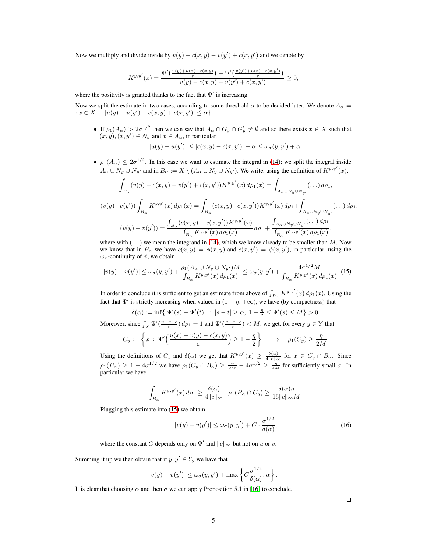Now we multiply and divide inside by  $v(y) - c(x, y) - v(y') + c(x, y')$  and we denote by

$$
K^{y,y'}(x)=\frac{\Psi'\left(\frac{v(y)+u(x)-c(x,y)}{\varepsilon}\right)-\Psi'\left(\frac{v(y')+u(x)-c(x,y')}{\varepsilon}\right)}{v(y)-c(x,y)-v(y')+c(x,y')}\geq 0,
$$

where the positivity is granted thanks to the fact that  $\Psi'$  is increasing.

Now we split the estimate in two cases, according to some threshold  $\alpha$  to be decided later. We denote  $A_{\alpha}$  =  ${x \in X : |u(y) - u(y') - c(x, y) + c(x, y')| \leq \alpha}$ 

• If  $\rho_1(A_\alpha) > 2\sigma^{1/2}$  then we can say that  $A_\alpha \cap G_y \cap G'_y \neq \emptyset$  and so there exists  $x \in X$  such that  $(x, y), (x, y') \in N_{\sigma}$  and  $x \in A_{\alpha}$ , in particular

$$
|u(y) - u(y')| \le |c(x, y) - c(x, y')| + \alpha \le \omega_{\sigma}(y, y') + \alpha.
$$

•  $\rho_1(A_\alpha) \leq 2\sigma^{1/2}$ . In this case we want to estimate the integral in [\(14\)](#page-14-1); we split the integral inside  $A_{\alpha} \cup N_y \cup N_{y'}$  and in  $B_{\alpha} := X \setminus (A_{\alpha} \cup N_y \cup N_{y'})$ . We write, using the definition of  $K^{y,y'}(x)$ ,

$$
\int_{B_{\alpha}} (v(y) - c(x, y) - v(y') + c(x, y'))K^{y, y'}(x) d\rho_1(x) = \int_{A_{\alpha} \cup N_y \cup N_{y'}} (\dots) d\rho_1,
$$
  

$$
(v(y) - v(y')) \int_{B_{\alpha}} K^{y, y'}(x) d\rho_1(x) = \int_{B_{\alpha}} (c(x, y) - c(x, y'))K^{y, y'}(x) d\rho_1 + \int_{A_{\alpha} \cup N_y \cup N_{y'}} (\dots) d\rho_1,
$$
  

$$
(v(y) - v(y')) = \frac{\int_{B_{\alpha}} (c(x, y) - c(x, y'))K^{y, y'}(x)}{\int_{B_{\alpha}} K^{y, y'}(x) d\rho_1(x)} d\rho_1 + \frac{\int_{A_{\alpha} \cup N_y \cup N_{y'}} (\dots) d\rho_1}{\int_{B_{\alpha}} K^{y, y'}(x) d\rho_1(x)}.
$$

where with  $(\ldots)$  we mean the integrand in [\(14\)](#page-14-1), which we know already to be smaller than M. Now we know that in  $B_\alpha$  we have  $c(x, y) = \phi(x, y)$  and  $c(x, y') = \phi(x, y')$ , in particular, using the  $\omega_{\sigma}$ -continuity of  $\phi$ , we obtain

<span id="page-15-0"></span>
$$
|v(y) - v(y')| \le \omega_{\sigma}(y, y') + \frac{\rho_1(A_{\alpha} \cup N_y \cup N_{y'})M}{\int_{B_{\alpha}} K^{y, y'}(x) d\rho_1(x)} \le \omega_{\sigma}(y, y') + \frac{4\sigma^{1/2}M}{\int_{B_{\alpha}} K^{y, y'}(x) d\rho_1(x)} \tag{15}
$$

In order to conclude it is sufficient to get an estimate from above of  $\int_{B_\alpha} K^{y,y'}(x) d\rho_1(x)$ . Using the fact that  $\Psi'$  is strictly increasing when valued in  $(1 - \eta, +\infty)$ , we have (by compactness) that

 $δ(α) := inf{ |ψ'(s) – ψ'(t)| : |s – t| ≥ α, 1 –  $\frac{η}{2} ≤ ψ'(s) ≤ M$ } > 0.$ 

Moreover, since  $\int_X \Psi'(\frac{u+v-c}{\varepsilon}) d\rho_1 = 1$  and  $\Psi'(\frac{u+v-c}{\varepsilon}) < M$ , we get, for every  $y \in Y$  that

$$
C_y := \left\{ x \ : \ \Psi'\Big(\frac{u(x) + v(y) - c(x, y)}{\varepsilon}\Big) \ge 1 - \frac{\eta}{2} \right\} \quad \Longrightarrow \quad \rho_1(C_y) \ge \frac{\eta}{2M}
$$

Using the definitions of  $C_y$  and  $\delta(\alpha)$  we get that  $K^{y,y'}(x) \ge \frac{\delta(\alpha)}{4||c||_{\infty}}$  for  $x \in C_y \cap B_\alpha$ . Since  $\rho_1(B_\alpha) \geq 1 - 4\sigma^{1/2}$  we have  $\rho_1(C_y \cap B_\alpha) \geq \frac{\eta}{2M} - 4\sigma^{1/2} \geq \frac{\eta}{4M}$  for sufficiently small  $\sigma$ . In particular we have

$$
\int_{B_{\alpha}} K^{y,y'}(x) d\rho_1 \ge \frac{\delta(\alpha)}{4\|c\|_{\infty}} \cdot \rho_1(B_{\alpha} \cap C_y) \ge \frac{\delta(\alpha)\eta}{16\|c\|_{\infty}M}.
$$

Plugging this estimate into [\(15\)](#page-15-0) we obtain

$$
|v(y) - v(y')| \le \omega_{\sigma}(y, y') + C \cdot \frac{\sigma^{1/2}}{\delta(\alpha)},
$$
\n(16)

where the constant C depends only on  $\Psi'$  and  $||c||_{\infty}$  but not on u or v.

Summing it up we then obtain that if  $y, y' \in Y_g$  we have that

$$
|v(y) - v(y')| \le \omega_{\sigma}(y, y') + \max \left\{ C \frac{\sigma^{1/2}}{\delta(\alpha)}, \alpha \right\}.
$$

It is clear that choosing  $\alpha$  and then  $\sigma$  we can apply Proposition 5.1 in [\[16\]](#page-8-8) to conclude.

.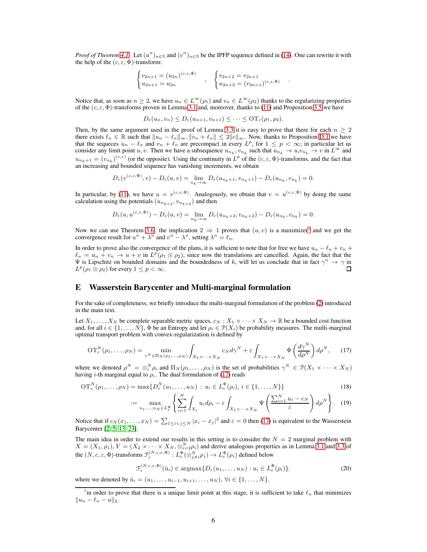*Proof of Theorem [4.1.](#page-7-1)* Let  $(u^n)_{n\in\mathbb{N}}$  and  $(v^n)_{n\in\mathbb{N}}$  be the IPFP sequence defined in [\(14\)](#page-7-4). One can rewrite it with the help of the  $(c, \varepsilon, \Phi)$ -transform:

$$
\begin{cases} v_{2n+1} = (u_{2n})^{(c,\varepsilon,\Phi)} \\ u_{2n+1} = u_{2n} \end{cases}, \quad \begin{cases} v_{2n+2} = v_{2n+1} \\ u_{2n+2} = (v_{2n+1})^{(c,\varepsilon,\Phi)} \end{cases}.
$$

Notice that, as soon as  $n \geq 2$ , we have  $u_n \in L^{\infty}(\rho_1)$  and  $v_n \in L^{\infty}(\rho_2)$  thanks to the regularizing properties of the  $(c, \varepsilon, \Phi)$ -transforms proven in Lemma [3.1](#page-4-1) and, moreover, thanks to [\(11\)](#page-5-5) and Proposition [3.5](#page-6-3) we have

$$
D_{\varepsilon}(u_n, v_n) \leq D_{\varepsilon}(u_{n+1}, v_{n+1}) \leq \cdots \leq \mathrm{OT}_{\varepsilon}(\rho_1, \rho_2).
$$

Then, by the same argument used in the proof of Lemma [3.3](#page-5-1) it is easy to prove that there for each  $n \geq 2$ there exists  $\ell_n \in \mathbb{R}$  such that  $||u_n - \ell_n||_{\infty}$ ,  $||v_n + \ell_n|| \leq 2||c||_{\infty}$ . Now, thanks to Proposition [D.1](#page-14-2) we have that the sequeces  $u_n - \ell_n$  and  $v_n + \ell_n$  are precompact in every  $L^p$ , for  $1 \leq p < \infty$ ; in particular let us consider any limit point u, v. Then we have a subsequence  $u_{n_k}, v_{n_k}$  such that  $u_{n_k} \to u, v_{n_k} \to v$  in  $L^\infty$  and  $u_{n_k+1} = (v_{n_k})^{(c,\varepsilon)}$  (or the opposite). Using the continuity in  $L^p$  of the  $(c,\varepsilon,\Phi)$ -transforms, and the fact that an increasing and bounded sequence has vanishing increments, we obtain

$$
D_{\varepsilon}(v^{(c,\varepsilon,\Phi)},v)-D_{\varepsilon}(u,v)=\lim_{n_k\to\infty}D_{\varepsilon}(u_{n_k+1},v_{n_k+1})-D_{\varepsilon}(u_{n_k},v_{n_k})=0.
$$

In particular, by [\(11\)](#page-5-5), we have  $u = v^{(c,\varepsilon,\Phi)}$ . Analogously, we obtain that  $v = u^{(c,\varepsilon,\Phi)}$  by doing the same calculation using the potentials  $(u_{n_{k+2}}, v_{n_{k+2}})$  and then

$$
D_{\varepsilon}(u, u^{(c, \varepsilon, \Phi)}) - D_{\varepsilon}(u, v) = \lim_{n_k \to \infty} D_{\varepsilon}(u_{n_k + 2}, v_{n_k + 2}) - D_{\varepsilon}(u_{n_k}, v_{n_k}) = 0.
$$

Now we can use Theorem [3.6:](#page-6-0) the implication  $2 \Rightarrow 1$  $2 \Rightarrow 1$  proves that  $(u, v)$  is a maximizer<sup>1</sup> and we get the convergence result for  $u^n + \lambda^n$  and  $v^n - \lambda^n$ , setting  $\lambda^n = \ell_n$ .

In order to prove also the convergence of the plans, it is sufficient to note that for free we have  $u_n - \ell_n + v_n +$  $\ell_n = u_n + v_n \to u + v$  in  $L^p(\rho_1 \otimes \rho_2)$ , since now the translations are cancelled. Again, the fact that the  $\Psi$  is Lipschitz on bounded domains and the boundedness of k, will let us conclude that in fact  $\gamma^n \to \gamma$  in  $L^p(\rho_1 \stackrel{\sim}{\otimes} \rho_2)$  for every  $1 \leq p < \infty$ .  $\Box$ 

## <span id="page-16-0"></span>E Wasserstein Barycenter and Multi-marginal formulation

For the sake of completeness, we briefly introduce the multi-marginal formulation of the problem [\(2\)](#page-2-0) introduced in the main text.

Let  $X_1, \ldots, X_N$  be complete separable metric spaces,  $c_N : X_1 \times \cdots \times X_N \to \mathbb{R}$  be a bounded cost function and, for all  $i \in \{1, ..., N\}$ ,  $\Phi$  be an Entropy and let  $\rho_i \in \mathcal{P}(X_i)$  be probability measures. The multi-marginal optimal transport problem with convex-regularization is defined by

<span id="page-16-2"></span>
$$
\mathrm{OT}_{\varepsilon}^{N}(\rho_1, \dots, \rho_N) = \min_{\gamma^N \in \Pi_N(\rho_1, \dots, \rho_N)} \int_{X_1 \times \dots \times X_N} c_N d\gamma^N + \varepsilon \int_{X_1 \times \dots \times X_N} \Phi\left(\frac{d\gamma^N}{d\rho^N}\right) d\rho^N, \tag{17}
$$

where we denoted  $\rho^N = \otimes_i^N \rho_i$  and  $\Pi_N(\rho_1, \ldots, \rho_N)$  is the set of probabilities  $\gamma^N \in \mathcal{P}(X_1 \times \cdots \times X_N)$ having *i*-th marginal equal to  $\rho_i$ . The dual formulation of [\(17\)](#page-16-2) reads

$$
\mathrm{OT}_{\varepsilon}^N(\rho_1,\ldots,\rho_N)=\max\{D_{\varepsilon}^N(u_1,\ldots,u_N)\,:\,u_i\in L_{\varepsilon}^\Phi(\rho_i),\,i\in\{1,\ldots,N\}\}\tag{18}
$$

<span id="page-16-4"></span>
$$
:= \max_{u_1, \dots, u_N \in L_{\varepsilon}^{\Phi}} \left\{ \sum_{i=1}^N \int_{X_i} u_i d\rho_i - \varepsilon \int_{X_1 \times \dots \times X_N} \Psi \left( \frac{\sum_{i=1}^N u_i - c_N}{\varepsilon} \right) d\rho^N \right\}.
$$
 (19)

Notice that if  $c_N(x_1,...,x_N) = \sum_{1 \leq i < j \leq N} |x_i - x_j|^2$  and  $\varepsilon = 0$  then [\(17\)](#page-16-2) is equivalent to the Wasserstein Barycenter [\[2,](#page-8-5) [5,](#page-8-18) [13,](#page-8-6) [23\]](#page-9-6).

The main idea in order to extend our results in this setting is to consider the  $N = 2$  marginal problem with  $X = (X_1, \rho_1), Y = (X_2 \times \cdots \times X_N, \otimes_{i=2}^N \rho_i)$  and derive analogous properties as in Lemma [3.1](#page-4-1) and [3.3](#page-5-1) of the  $(N, c, \varepsilon, \Phi)$ -transforms  $\mathfrak{F}_i^{(N, c, \varepsilon, \Phi)} : L_{\varepsilon}^{\Phi}(\otimes_{j \neq i}^N \rho_j) \to L_{\varepsilon}^{\Phi}(\rho_i)$  defined below

<span id="page-16-3"></span>
$$
\mathcal{F}_i^{(N,c,\varepsilon,\Phi)}(\hat{u}_i) \in \operatorname{argmax} \{ D_{\varepsilon}(u_1,\ldots,u_N) : u_i \in L_{\varepsilon}^{\Phi}(\rho_i) \}. \tag{20}
$$

where we denoted by  $\hat{u}_i = (u_1, \dots, u_{i-1}, u_{i+1}, \dots, u_N), \forall i \in \{1, \dots, N\}.$ 

<span id="page-16-1"></span><sup>&</sup>lt;sup>1</sup> in order to prove that there is a unique limit point at this stage, it is sufficient to take  $\ell_n$  that minimizes  $||u_n - \ell_n - u||_2.$